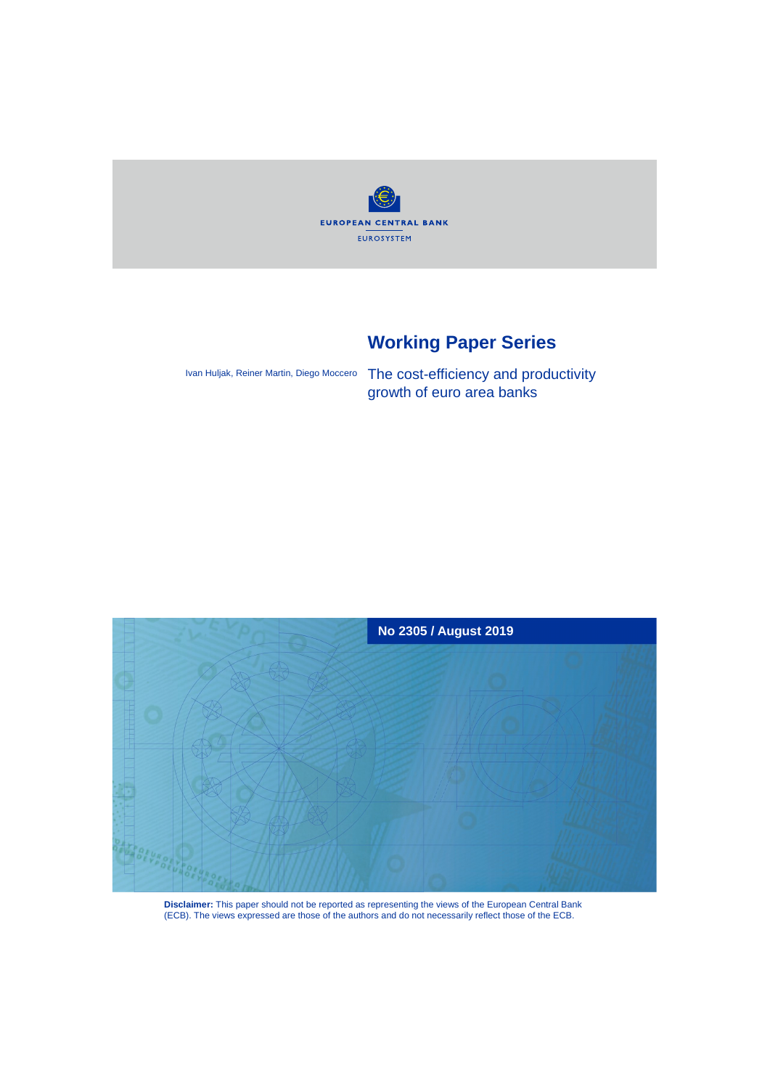

# **Working Paper Series**

Ivan Huljak, Reiner Martin, Diego Moccero

The cost-efficiency and productivity growth of euro area banks



**Disclaimer:** This paper should not be reported as representing the views of the European Central Bank (ECB). The views expressed are those of the authors and do not necessarily reflect those of the ECB.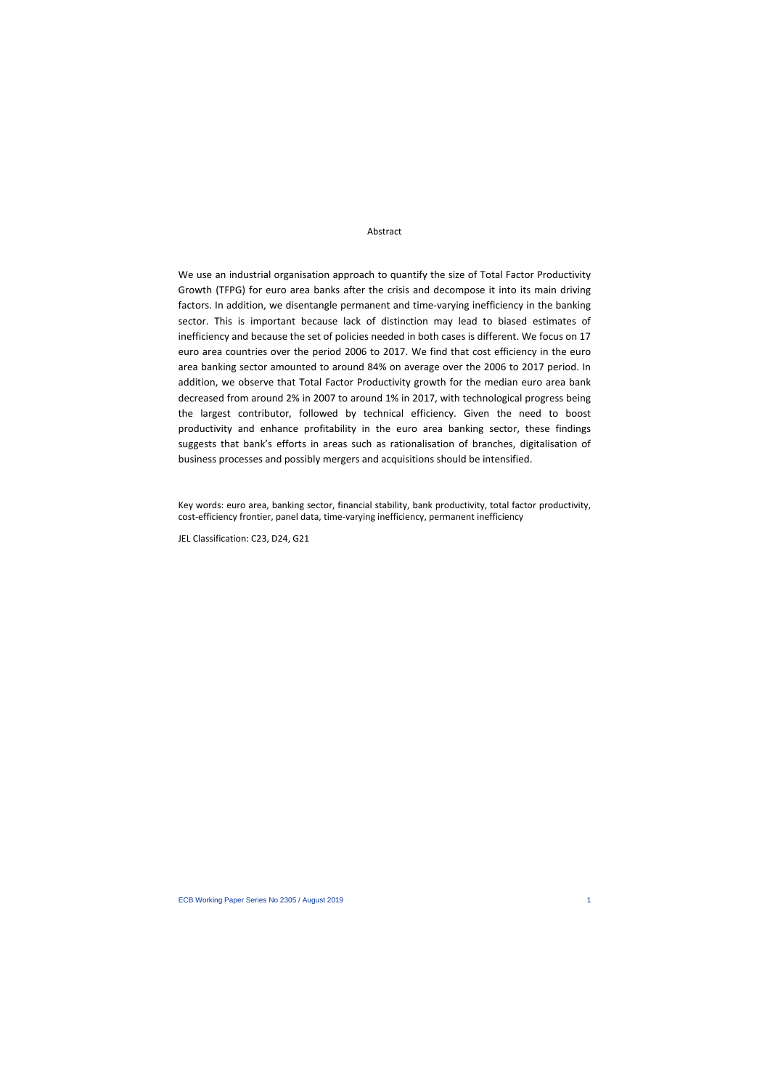#### Abstract

We use an industrial organisation approach to quantify the size of Total Factor Productivity Growth (TFPG) for euro area banks after the crisis and decompose it into its main driving factors. In addition, we disentangle permanent and time-varying inefficiency in the banking sector. This is important because lack of distinction may lead to biased estimates of inefficiency and because the set of policies needed in both cases is different. We focus on 17 euro area countries over the period 2006 to 2017. We find that cost efficiency in the euro area banking sector amounted to around 84% on average over the 2006 to 2017 period. In addition, we observe that Total Factor Productivity growth for the median euro area bank decreased from around 2% in 2007 to around 1% in 2017, with technological progress being the largest contributor, followed by technical efficiency. Given the need to boost productivity and enhance profitability in the euro area banking sector, these findings suggests that bank's efforts in areas such as rationalisation of branches, digitalisation of business processes and possibly mergers and acquisitions should be intensified.

Key words: euro area, banking sector, financial stability, bank productivity, total factor productivity, cost-efficiency frontier, panel data, time-varying inefficiency, permanent inefficiency

JEL Classification: C23, D24, G21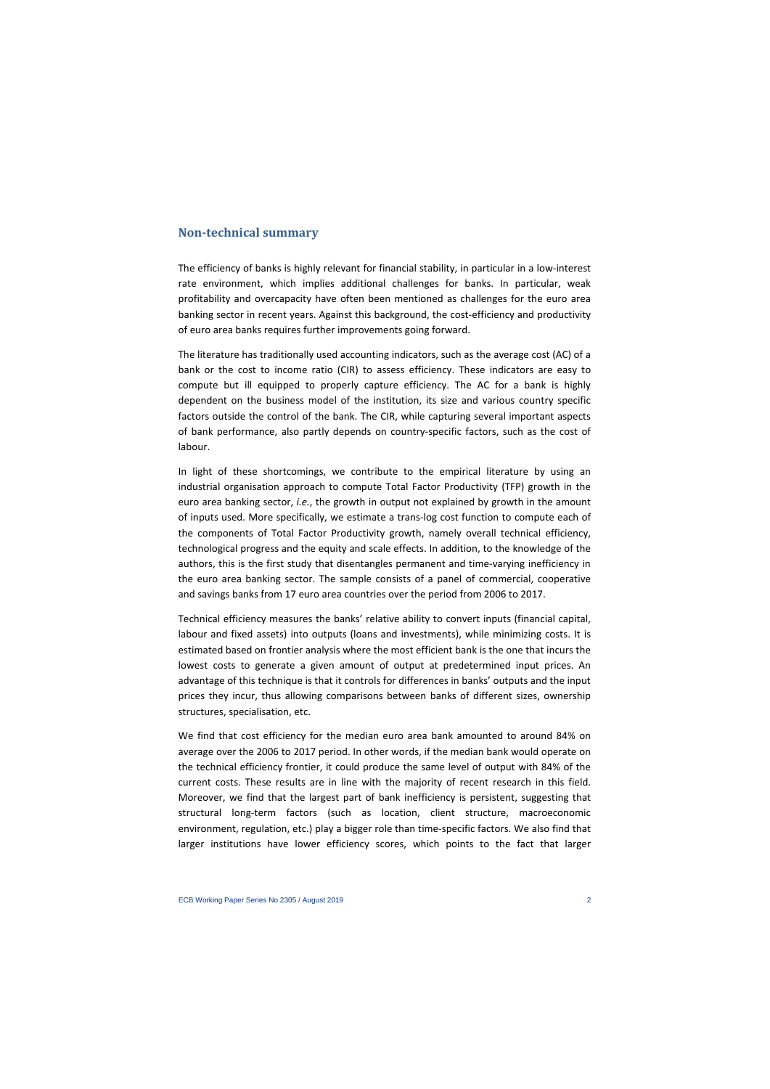# **Non-technical summary**

The efficiency of banks is highly relevant for financial stability, in particular in a low-interest rate environment, which implies additional challenges for banks. In particular, weak profitability and overcapacity have often been mentioned as challenges for the euro area banking sector in recent years. Against this background, the cost-efficiency and productivity of euro area banks requires further improvements going forward.

The literature has traditionally used accounting indicators, such as the average cost (AC) of a bank or the cost to income ratio (CIR) to assess efficiency. These indicators are easy to compute but ill equipped to properly capture efficiency. The AC for a bank is highly dependent on the business model of the institution, its size and various country specific factors outside the control of the bank. The CIR, while capturing several important aspects of bank performance, also partly depends on country-specific factors, such as the cost of labour.

In light of these shortcomings, we contribute to the empirical literature by using an industrial organisation approach to compute Total Factor Productivity (TFP) growth in the euro area banking sector, *i.e.*, the growth in output not explained by growth in the amount of inputs used. More specifically, we estimate a trans-log cost function to compute each of the components of Total Factor Productivity growth, namely overall technical efficiency, technological progress and the equity and scale effects. In addition, to the knowledge of the authors, this is the first study that disentangles permanent and time-varying inefficiency in the euro area banking sector. The sample consists of a panel of commercial, cooperative and savings banks from 17 euro area countries over the period from 2006 to 2017.

Technical efficiency measures the banks' relative ability to convert inputs (financial capital, labour and fixed assets) into outputs (loans and investments), while minimizing costs. It is estimated based on frontier analysis where the most efficient bank is the one that incurs the lowest costs to generate a given amount of output at predetermined input prices. An advantage of this technique is that it controls for differences in banks' outputs and the input prices they incur, thus allowing comparisons between banks of different sizes, ownership structures, specialisation, etc.

We find that cost efficiency for the median euro area bank amounted to around 84% on average over the 2006 to 2017 period. In other words, if the median bank would operate on the technical efficiency frontier, it could produce the same level of output with 84% of the current costs. These results are in line with the majority of recent research in this field. Moreover, we find that the largest part of bank inefficiency is persistent, suggesting that structural long-term factors (such as location, client structure, macroeconomic environment, regulation, etc.) play a bigger role than time-specific factors. We also find that larger institutions have lower efficiency scores, which points to the fact that larger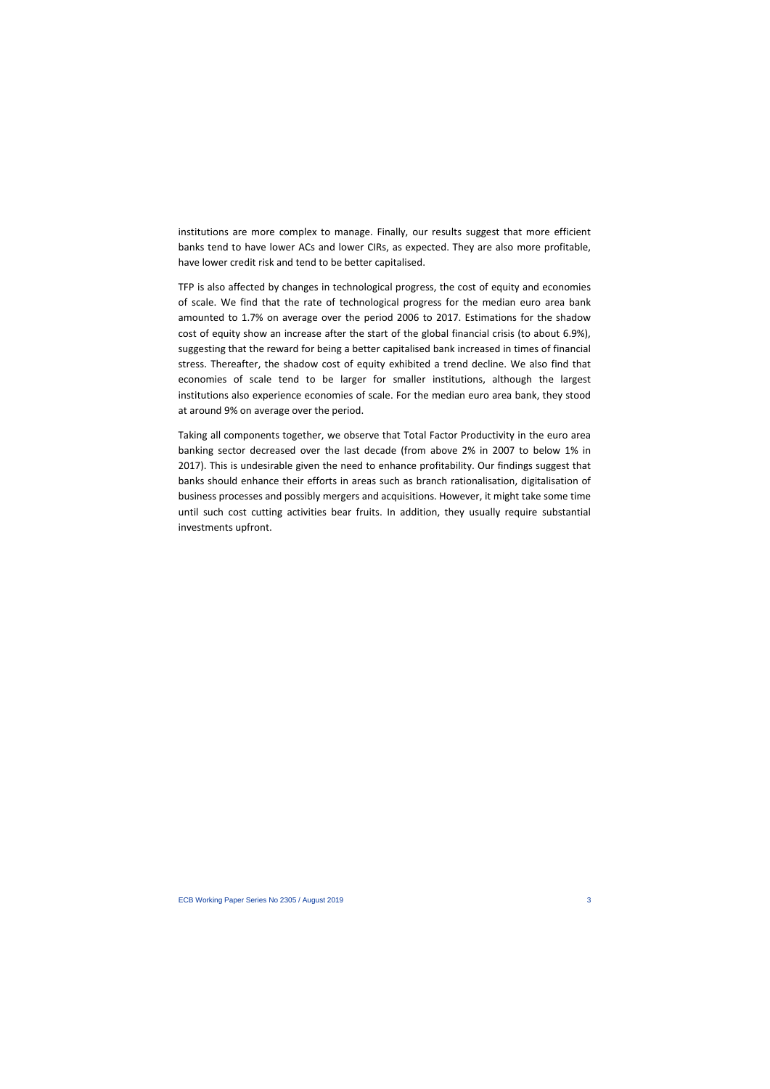institutions are more complex to manage. Finally, our results suggest that more efficient banks tend to have lower ACs and lower CIRs, as expected. They are also more profitable, have lower credit risk and tend to be better capitalised.

TFP is also affected by changes in technological progress, the cost of equity and economies of scale. We find that the rate of technological progress for the median euro area bank amounted to 1.7% on average over the period 2006 to 2017. Estimations for the shadow cost of equity show an increase after the start of the global financial crisis (to about 6.9%), suggesting that the reward for being a better capitalised bank increased in times of financial stress. Thereafter, the shadow cost of equity exhibited a trend decline. We also find that economies of scale tend to be larger for smaller institutions, although the largest institutions also experience economies of scale. For the median euro area bank, they stood at around 9% on average over the period.

Taking all components together, we observe that Total Factor Productivity in the euro area banking sector decreased over the last decade (from above 2% in 2007 to below 1% in 2017). This is undesirable given the need to enhance profitability. Our findings suggest that banks should enhance their efforts in areas such as branch rationalisation, digitalisation of business processes and possibly mergers and acquisitions. However, it might take some time until such cost cutting activities bear fruits. In addition, they usually require substantial investments upfront.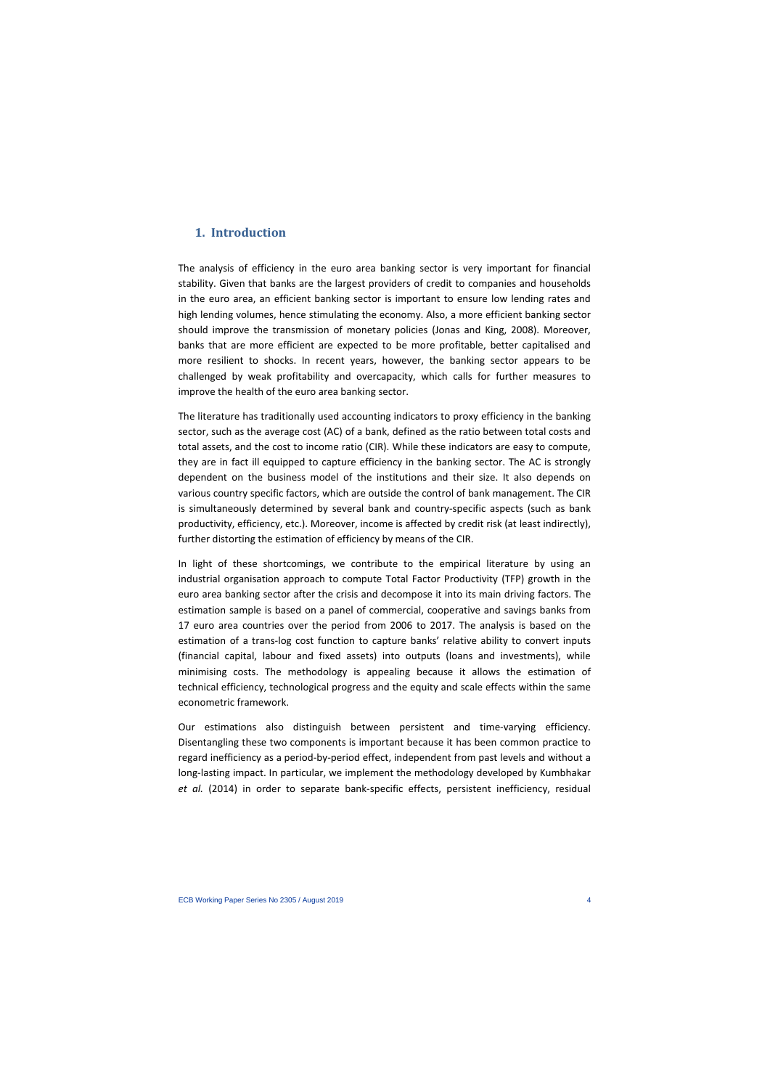# **1. Introduction**

The analysis of efficiency in the euro area banking sector is very important for financial stability. Given that banks are the largest providers of credit to companies and households in the euro area, an efficient banking sector is important to ensure low lending rates and high lending volumes, hence stimulating the economy. Also, a more efficient banking sector should improve the transmission of monetary policies (Jonas and King, 2008). Moreover, banks that are more efficient are expected to be more profitable, better capitalised and more resilient to shocks. In recent years, however, the banking sector appears to be challenged by weak profitability and overcapacity, which calls for further measures to improve the health of the euro area banking sector.

The literature has traditionally used accounting indicators to proxy efficiency in the banking sector, such as the average cost (AC) of a bank, defined as the ratio between total costs and total assets, and the cost to income ratio (CIR). While these indicators are easy to compute, they are in fact ill equipped to capture efficiency in the banking sector. The AC is strongly dependent on the business model of the institutions and their size. It also depends on various country specific factors, which are outside the control of bank management. The CIR is simultaneously determined by several bank and country-specific aspects (such as bank productivity, efficiency, etc.). Moreover, income is affected by credit risk (at least indirectly), further distorting the estimation of efficiency by means of the CIR.

In light of these shortcomings, we contribute to the empirical literature by using an industrial organisation approach to compute Total Factor Productivity (TFP) growth in the euro area banking sector after the crisis and decompose it into its main driving factors. The estimation sample is based on a panel of commercial, cooperative and savings banks from 17 euro area countries over the period from 2006 to 2017. The analysis is based on the estimation of a trans-log cost function to capture banks' relative ability to convert inputs (financial capital, labour and fixed assets) into outputs (loans and investments), while minimising costs. The methodology is appealing because it allows the estimation of technical efficiency, technological progress and the equity and scale effects within the same econometric framework.

Our estimations also distinguish between persistent and time-varying efficiency. Disentangling these two components is important because it has been common practice to regard inefficiency as a period-by-period effect, independent from past levels and without a long-lasting impact. In particular, we implement the methodology developed by Kumbhakar *et al.* (2014) in order to separate bank-specific effects, persistent inefficiency, residual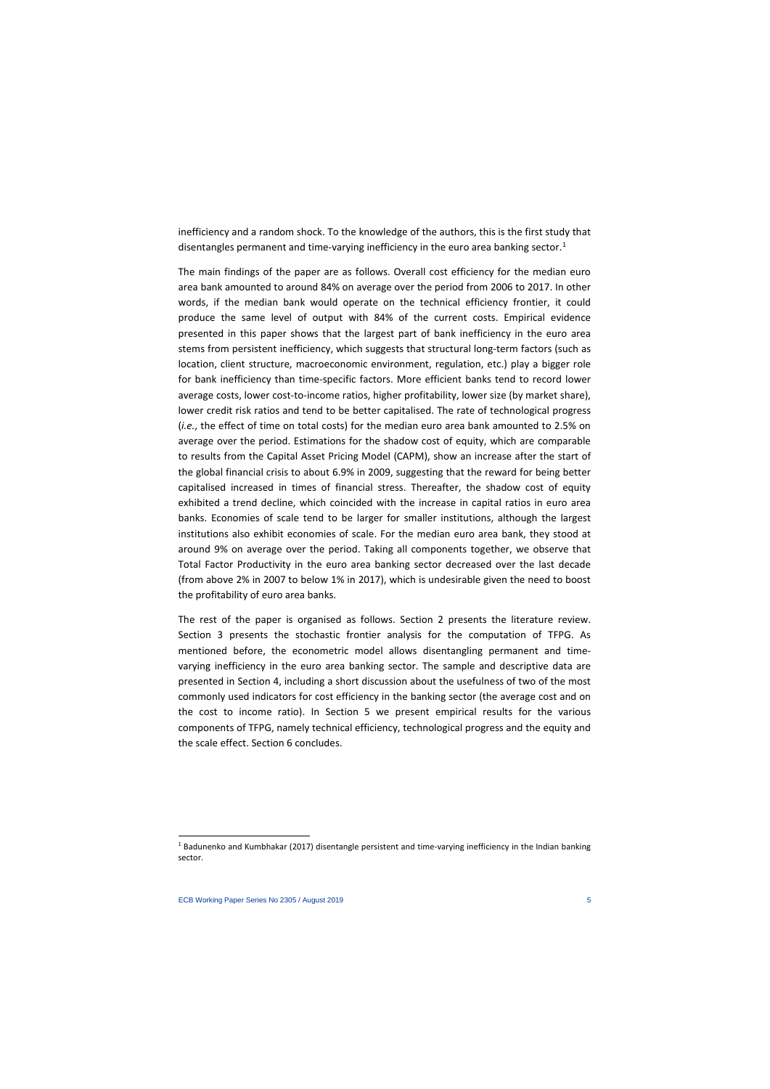inefficiency and a random shock. To the knowledge of the authors, this is the first study that disentangles permanent and time-varying inefficiency in the euro area banking sector.<sup>[1](#page-5-0)</sup>

The main findings of the paper are as follows. Overall cost efficiency for the median euro area bank amounted to around 84% on average over the period from 2006 to 2017. In other words, if the median bank would operate on the technical efficiency frontier, it could produce the same level of output with 84% of the current costs. Empirical evidence presented in this paper shows that the largest part of bank inefficiency in the euro area stems from persistent inefficiency, which suggests that structural long-term factors (such as location, client structure, macroeconomic environment, regulation, etc.) play a bigger role for bank inefficiency than time-specific factors. More efficient banks tend to record lower average costs, lower cost-to-income ratios, higher profitability, lower size (by market share), lower credit risk ratios and tend to be better capitalised. The rate of technological progress (*i.e.*, the effect of time on total costs) for the median euro area bank amounted to 2.5% on average over the period. Estimations for the shadow cost of equity, which are comparable to results from the Capital Asset Pricing Model (CAPM), show an increase after the start of the global financial crisis to about 6.9% in 2009, suggesting that the reward for being better capitalised increased in times of financial stress. Thereafter, the shadow cost of equity exhibited a trend decline, which coincided with the increase in capital ratios in euro area banks. Economies of scale tend to be larger for smaller institutions, although the largest institutions also exhibit economies of scale. For the median euro area bank, they stood at around 9% on average over the period. Taking all components together, we observe that Total Factor Productivity in the euro area banking sector decreased over the last decade (from above 2% in 2007 to below 1% in 2017), which is undesirable given the need to boost the profitability of euro area banks.

The rest of the paper is organised as follows. Section 2 presents the literature review. Section 3 presents the stochastic frontier analysis for the computation of TFPG. As mentioned before, the econometric model allows disentangling permanent and timevarying inefficiency in the euro area banking sector. The sample and descriptive data are presented in Section 4, including a short discussion about the usefulness of two of the most commonly used indicators for cost efficiency in the banking sector (the average cost and on the cost to income ratio). In Section 5 we present empirical results for the various components of TFPG, namely technical efficiency, technological progress and the equity and the scale effect. Section 6 concludes.

<span id="page-5-0"></span><sup>1</sup> Badunenko and Kumbhakar (2017) disentangle persistent and time-varying inefficiency in the Indian banking sector.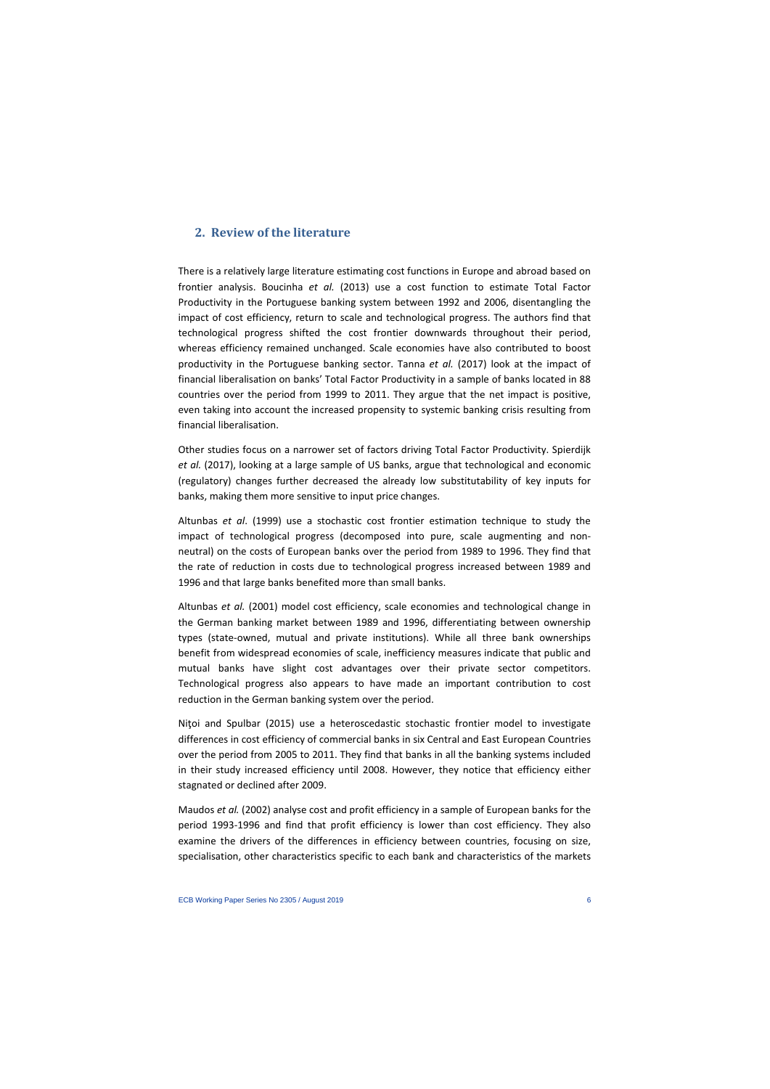# **2. Review of the literature**

There is a relatively large literature estimating cost functions in Europe and abroad based on frontier analysis. Boucinha *et al.* (2013) use a cost function to estimate Total Factor Productivity in the Portuguese banking system between 1992 and 2006, disentangling the impact of cost efficiency, return to scale and technological progress. The authors find that technological progress shifted the cost frontier downwards throughout their period, whereas efficiency remained unchanged. Scale economies have also contributed to boost productivity in the Portuguese banking sector. Tanna *et al.* (2017) look at the impact of financial liberalisation on banks' Total Factor Productivity in a sample of banks located in 88 countries over the period from 1999 to 2011. They argue that the net impact is positive, even taking into account the increased propensity to systemic banking crisis resulting from financial liberalisation.

Other studies focus on a narrower set of factors driving Total Factor Productivity. Spierdijk *et al.* (2017), looking at a large sample of US banks, argue that technological and economic (regulatory) changes further decreased the already low substitutability of key inputs for banks, making them more sensitive to input price changes.

Altunbas *et al*. (1999) use a stochastic cost frontier estimation technique to study the impact of technological progress (decomposed into pure, scale augmenting and nonneutral) on the costs of European banks over the period from 1989 to 1996. They find that the rate of reduction in costs due to technological progress increased between 1989 and 1996 and that large banks benefited more than small banks.

Altunbas *et al.* (2001) model cost efficiency, scale economies and technological change in the German banking market between 1989 and 1996, differentiating between ownership types (state-owned, mutual and private institutions). While all three bank ownerships benefit from widespread economies of scale, inefficiency measures indicate that public and mutual banks have slight cost advantages over their private sector competitors. Technological progress also appears to have made an important contribution to cost reduction in the German banking system over the period.

Nitoi and Spulbar (2015) use a heteroscedastic stochastic frontier model to investigate differences in cost efficiency of commercial banks in six Central and East European Countries over the period from 2005 to 2011. They find that banks in all the banking systems included in their study increased efficiency until 2008. However, they notice that efficiency either stagnated or declined after 2009.

Maudos *et al.* (2002) analyse cost and profit efficiency in a sample of European banks for the period 1993-1996 and find that profit efficiency is lower than cost efficiency. They also examine the drivers of the differences in efficiency between countries, focusing on size, specialisation, other characteristics specific to each bank and characteristics of the markets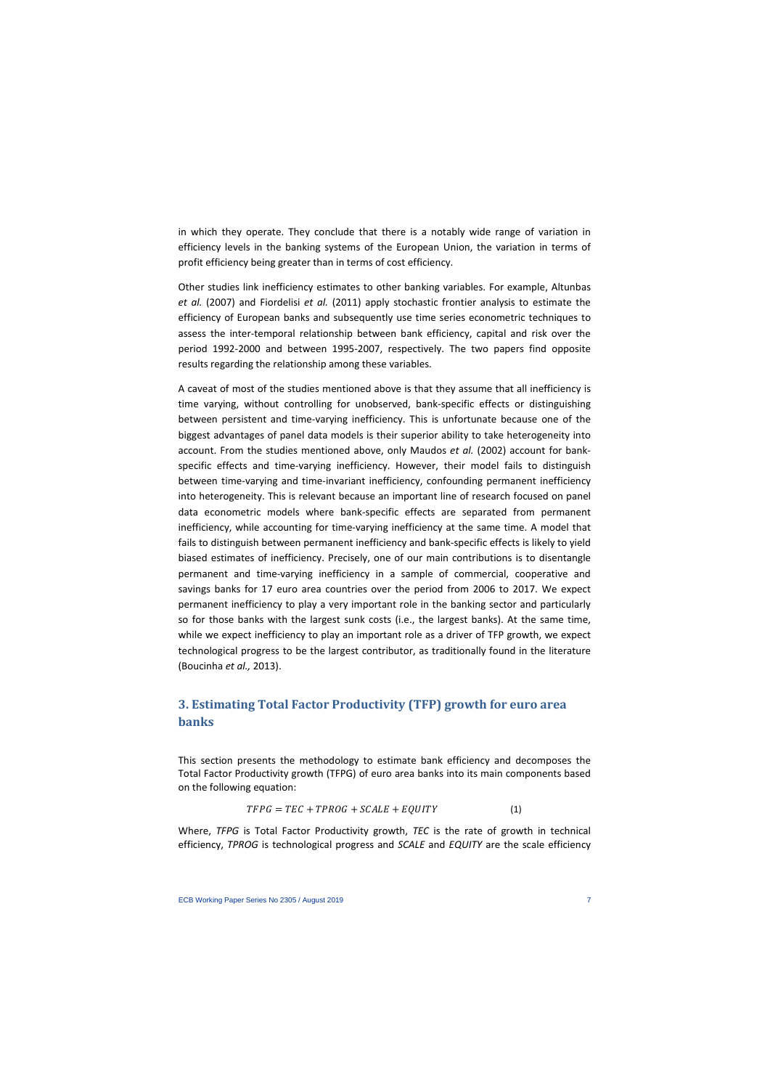in which they operate. They conclude that there is a notably wide range of variation in efficiency levels in the banking systems of the European Union, the variation in terms of profit efficiency being greater than in terms of cost efficiency.

Other studies link inefficiency estimates to other banking variables. For example, Altunbas *et al.* (2007) and Fiordelisi *et al.* (2011) apply stochastic frontier analysis to estimate the efficiency of European banks and subsequently use time series econometric techniques to assess the inter-temporal relationship between bank efficiency, capital and risk over the period 1992-2000 and between 1995-2007, respectively. The two papers find opposite results regarding the relationship among these variables.

A caveat of most of the studies mentioned above is that they assume that all inefficiency is time varying, without controlling for unobserved, bank-specific effects or distinguishing between persistent and time-varying inefficiency. This is unfortunate because one of the biggest advantages of panel data models is their superior ability to take heterogeneity into account. From the studies mentioned above, only Maudos *et al.* (2002) account for bankspecific effects and time-varying inefficiency. However, their model fails to distinguish between time-varying and time-invariant inefficiency, confounding permanent inefficiency into heterogeneity. This is relevant because an important line of research focused on panel data econometric models where bank-specific effects are separated from permanent inefficiency, while accounting for time-varying inefficiency at the same time. A model that fails to distinguish between permanent inefficiency and bank-specific effects is likely to yield biased estimates of inefficiency. Precisely, one of our main contributions is to disentangle permanent and time-varying inefficiency in a sample of commercial, cooperative and savings banks for 17 euro area countries over the period from 2006 to 2017. We expect permanent inefficiency to play a very important role in the banking sector and particularly so for those banks with the largest sunk costs (i.e., the largest banks). At the same time, while we expect inefficiency to play an important role as a driver of TFP growth, we expect technological progress to be the largest contributor, as traditionally found in the literature (Boucinha *et al.,* 2013).

# **3. Estimating Total Factor Productivity (TFP) growth for euro area banks**

This section presents the methodology to estimate bank efficiency and decomposes the Total Factor Productivity growth (TFPG) of euro area banks into its main components based on the following equation:

$$
TFPG = TEC + TPROG + SCALE + EQUITY \tag{1}
$$

Where, *TFPG* is Total Factor Productivity growth, *TEC* is the rate of growth in technical efficiency, *TPROG* is technological progress and *SCALE* and *EQUITY* are the scale efficiency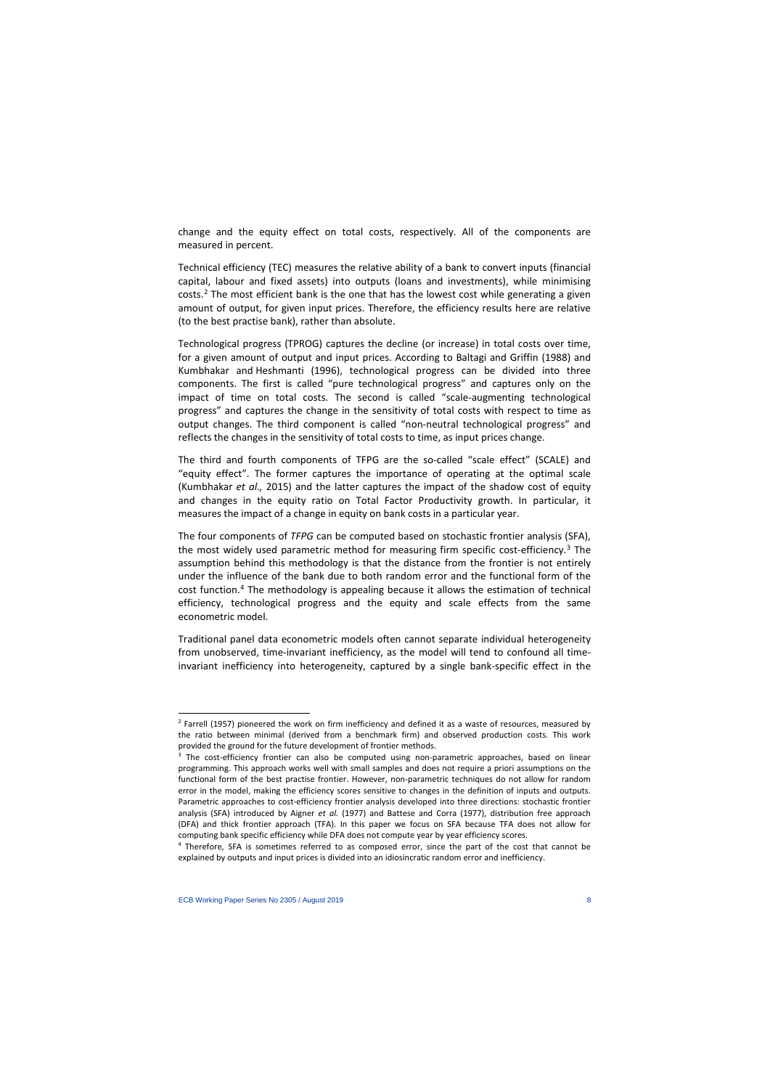change and the equity effect on total costs, respectively. All of the components are measured in percent.

Technical efficiency (TEC) measures the relative ability of a bank to convert inputs (financial capital, labour and fixed assets) into outputs (loans and investments), while minimising costs.[2](#page-8-0) The most efficient bank is the one that has the lowest cost while generating a given amount of output, for given input prices. Therefore, the efficiency results here are relative (to the best practise bank), rather than absolute.

Technological progress (TPROG) captures the decline (or increase) in total costs over time, for a given amount of output and input prices. According to Baltagi and Griffin (1988) and Kumbhakar and Heshmanti (1996), technological progress can be divided into three components. The first is called "pure technological progress" and captures only on the impact of time on total costs. The second is called "scale-augmenting technological progress" and captures the change in the sensitivity of total costs with respect to time as output changes. The third component is called "non-neutral technological progress" and reflects the changes in the sensitivity of total costs to time, as input prices change.

The third and fourth components of TFPG are the so-called "scale effect" (SCALE) and "equity effect". The former captures the importance of operating at the optimal scale (Kumbhakar *et al.,* 2015) and the latter captures the impact of the shadow cost of equity and changes in the equity ratio on Total Factor Productivity growth. In particular, it measures the impact of a change in equity on bank costs in a particular year.

The four components of *TFPG* can be computed based on stochastic frontier analysis (SFA), the most widely used parametric method for measuring firm specific cost-efficiency.<sup>[3](#page-8-1)</sup> The assumption behind this methodology is that the distance from the frontier is not entirely under the influence of the bank due to both random error and the functional form of the cost function.[4](#page-8-2) The methodology is appealing because it allows the estimation of technical efficiency, technological progress and the equity and scale effects from the same econometric model.

Traditional panel data econometric models often cannot separate individual heterogeneity from unobserved, time-invariant inefficiency, as the model will tend to confound all timeinvariant inefficiency into heterogeneity, captured by a single bank-specific effect in the

<sup>&</sup>lt;sup>2</sup> Farrell (1957) pioneered the work on firm inefficiency and defined it as a waste of resources, measured by the ratio between minimal (derived from a benchmark firm) and observed production costs. This work provided the ground for the future development of frontier methods.

 $3$  The cost-efficiency frontier can also be computed using non-parametric approaches, based on linear programming. This approach works well with small samples and does not require a priori assumptions on the functional form of the best practise frontier. However, non-parametric techniques do not allow for random error in the model, making the efficiency scores sensitive to changes in the definition of inputs and outputs. Parametric approaches to cost-efficiency frontier analysis developed into three directions: stochastic frontier analysis (SFA) introduced by Aigner *et al.* (1977) and Battese and Corra (1977), distribution free approach (DFA) and thick frontier approach (TFA). In this paper we focus on SFA because TFA does not allow for computing bank specific efficiency while DFA does not compute year by year efficiency scores.

<span id="page-8-2"></span><span id="page-8-1"></span><span id="page-8-0"></span><sup>4</sup> Therefore, SFA is sometimes referred to as composed error, since the part of the cost that cannot be explained by outputs and input prices is divided into an idiosincratic random error and inefficiency.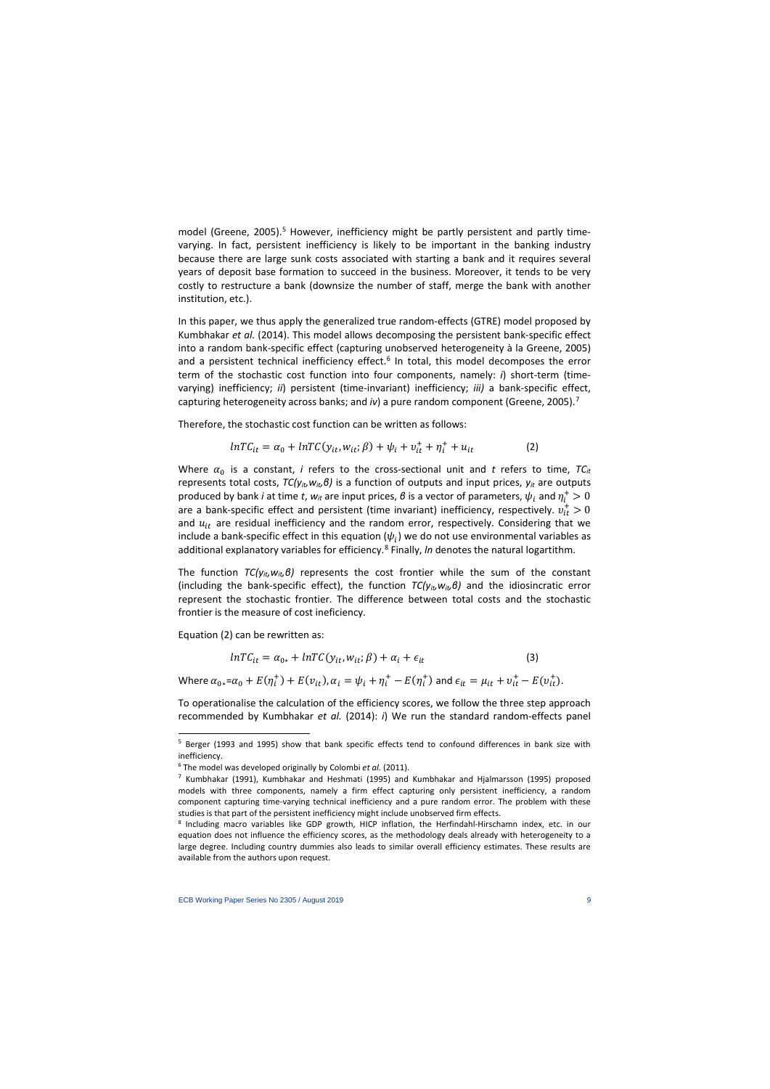model (Greene, 200[5](#page-9-0)).<sup>5</sup> However, inefficiency might be partly persistent and partly timevarying. In fact, persistent inefficiency is likely to be important in the banking industry because there are large sunk costs associated with starting a bank and it requires several years of deposit base formation to succeed in the business. Moreover, it tends to be very costly to restructure a bank (downsize the number of staff, merge the bank with another institution, etc.).

In this paper, we thus apply the generalized true random-effects (GTRE) model proposed by Kumbhakar *et al.* (2014). This model allows decomposing the persistent bank-specific effect into a random bank-specific effect (capturing unobserved heterogeneity à la Greene, 2005) and a persistent technical inefficiency effect.<sup>[6](#page-9-1)</sup> In total, this model decomposes the error term of the stochastic cost function into four components, namely: *i*) short-term (timevarying) inefficiency; *ii*) persistent (time-invariant) inefficiency; *iii)* a bank-specific effect, capturing heterogeneity across banks; and *iv*) a pure random component (Greene, 2005).<sup>[7](#page-9-2)</sup>

Therefore, the stochastic cost function can be written as follows:

$$
lnTC_{it} = \alpha_0 + lnTC(y_{it}, w_{it}; \beta) + \psi_i + v_{it}^+ + \eta_i^+ + u_{it}
$$
 (2)

Where  $\alpha_0$  is a constant, *i* refers to the cross-sectional unit and *t* refers to time,  $TC_{it}$ represents total costs, *TC(yit,wit,β)* is a function of outputs and input prices, *yit* are outputs produced by bank *i* at time *t*,  $w_{it}$  are input prices,  $\theta$  is a vector of parameters,  $\psi_i$  and  $\eta^+_i>0$ are a bank-specific effect and persistent (time invariant) inefficiency, respectively.  $v_{it}^+>0$ and  $u_{it}$  are residual inefficiency and the random error, respectively. Considering that we include a bank-specific effect in this equation  $(\psi_i)$  we do not use environmental variables as additional explanatory variables for efficiency.<sup>[8](#page-9-3)</sup> Finally, *In* denotes the natural logartithm.

The function *TC(yit,wit,β)* represents the cost frontier while the sum of the constant (including the bank-specific effect), the function *TC(yit,wit,β)* and the idiosincratic error represent the stochastic frontier. The difference between total costs and the stochastic frontier is the measure of cost ineficiency.

Equation (2) can be rewritten as:

 $\overline{\phantom{a}}$ 

$$
lnTC_{it} = \alpha_{0*} + lnTC(y_{it}, w_{it}; \beta) + \alpha_i + \epsilon_{it}
$$
\n(3)

Where  $\alpha_{0*} = \alpha_0 + E(\eta_i^+) + E(\nu_{it}), \alpha_i = \psi_i + \eta_i^+ - E(\eta_i^+)$  and  $\epsilon_{it} = \mu_{it} + \nu_{it}^+ - E(\nu_{it}^+).$ 

To operationalise the calculation of the efficiency scores, we follow the three step approach recommended by Kumbhakar *et al.* (2014): *i*) We run the standard random-effects panel

<sup>5</sup> Berger (1993 and 1995) show that bank specific effects tend to confound differences in bank size with inefficiency.

<sup>6</sup> The model was developed originally by Colombi *et al.* (2011).

 $<sup>7</sup>$  Kumbhakar (1991), Kumbhakar and Heshmati (1995) and Kumbhakar and Hjalmarsson (1995) proposed</sup> models with three components, namely a firm effect capturing only persistent inefficiency, a random component capturing time-varying technical inefficiency and a pure random error. The problem with these studies is that part of the persistent inefficiency might include unobserved firm effects.

<span id="page-9-3"></span><span id="page-9-2"></span><span id="page-9-1"></span><span id="page-9-0"></span><sup>8</sup> Including macro variables like GDP growth, HICP inflation, the Herfindahl-Hirschamn index, etc. in our equation does not influence the efficiency scores, as the methodology deals already with heterogeneity to a large degree. Including country dummies also leads to similar overall efficiency estimates. These results are available from the authors upon request.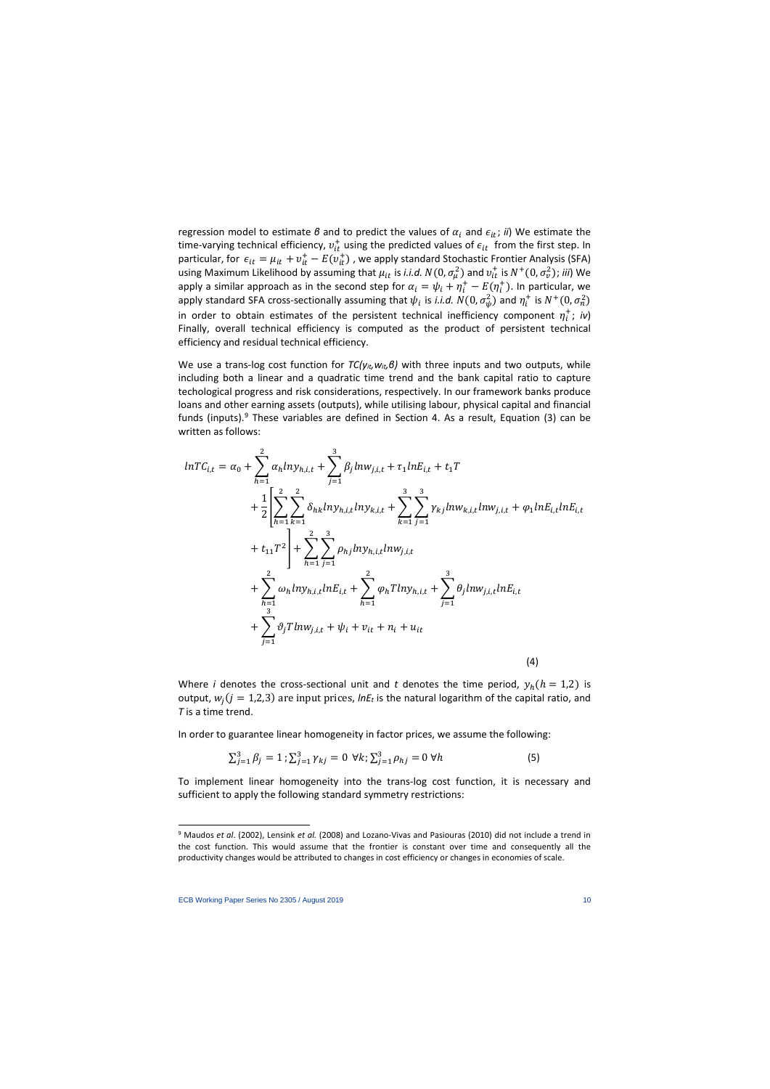regression model to estimate *β* and to predict the values of  $\alpha_i$  and  $\epsilon_{it}$ ; *ii*) We estimate the time-varying technical efficiency,  $v_{it}^+$  using the predicted values of  $\epsilon_{it}$  from the first step. In particular, for  $\epsilon_{it} = \mu_{it} + v_{it}^+ - E(v_{it}^+)$ , we apply standard Stochastic Frontier Analysis (SFA) using Maximum Likelihood by assuming that  $\mu_{it}$  is *i.i.d.*  $N(0, \sigma_\mu^2)$  and  $v_{it}^+$  is  $N^+(0, \sigma_v^2)$ ; *iii*) We apply a similar approach as in the second step for  $\alpha_i = \psi_i + \eta^+_i - E(\eta^+_i)$ . In particular, we apply standard SFA cross-sectionally assuming that  $\psi_i$  is *i.i.d.*  $N(0,\sigma_\psi^2)$  and  $\eta_i^+$  is  $N^+(0,\sigma_n^2)$ in order to obtain estimates of the persistent technical inefficiency component  $\eta_i^+$ ; *iv*) Finally, overall technical efficiency is computed as the product of persistent technical efficiency and residual technical efficiency.

We use a trans-log cost function for *TC(yit, wit, β)* with three inputs and two outputs, while including both a linear and a quadratic time trend and the bank capital ratio to capture techological progress and risk considerations, respectively. In our framework banks produce loans and other earning assets (outputs), while utilising labour, physical capital and financial funds (inputs).<sup>[9](#page-10-0)</sup> These variables are defined in Section 4. As a result, Equation (3) can be written as follows:

$$
lnTC_{i,t} = \alpha_0 + \sum_{h=1}^{2} \alpha_h ln y_{h,i,t} + \sum_{j=1}^{3} \beta_j ln w_{j,i,t} + \tau_1 ln E_{i,t} + t_1 T
$$
  
+  $\frac{1}{2} \left[ \sum_{h=1}^{2} \sum_{k=1}^{2} \delta_{hk} ln y_{h,i,t} ln y_{k,i,t} + \sum_{k=1}^{3} \sum_{j=1}^{3} \gamma_{kj} ln w_{k,i,t} ln w_{j,i,t} + \varphi_1 ln E_{i,t} ln E_{i,t} \right]$   
+  $t_{11} T^2 \right] + \sum_{h=1}^{2} \sum_{j=1}^{3} \rho_{hj} ln y_{h,i,t} ln w_{j,i,t}$   
+  $\sum_{h=1}^{2} \omega_h ln y_{h,i,t} ln E_{i,t} + \sum_{h=1}^{2} \varphi_h T ln y_{h,i,t} + \sum_{j=1}^{3} \theta_j ln w_{j,i,t} ln E_{i,t}$   
+  $\sum_{j=1}^{3} \vartheta_j T ln w_{j,i,t} + \psi_i + v_{it} + n_i + u_{it}$  (4)

Where *i* denotes the cross-sectional unit and *t* denotes the time period,  $y_h(h = 1,2)$  is output,  $w_i ( j = 1,2,3)$  are input prices, *lnE<sub>t</sub>* is the natural logarithm of the capital ratio, and *T* is a time trend.

In order to guarantee linear homogeneity in factor prices, we assume the following:

$$
\sum_{j=1}^{3} \beta_j = 1; \sum_{j=1}^{3} \gamma_{kj} = 0 \ \forall k; \sum_{j=1}^{3} \rho_{hj} = 0 \ \forall h
$$
 (5)

To implement linear homogeneity into the trans-log cost function, it is necessary and sufficient to apply the following standard symmetry restrictions:

l

<span id="page-10-0"></span><sup>9</sup> Maudos *et al*. (2002), Lensink *et al.* (2008) and Lozano-Vivas and Pasiouras (2010) did not include a trend in the cost function. This would assume that the frontier is constant over time and consequently all the productivity changes would be attributed to changes in cost efficiency or changes in economies of scale.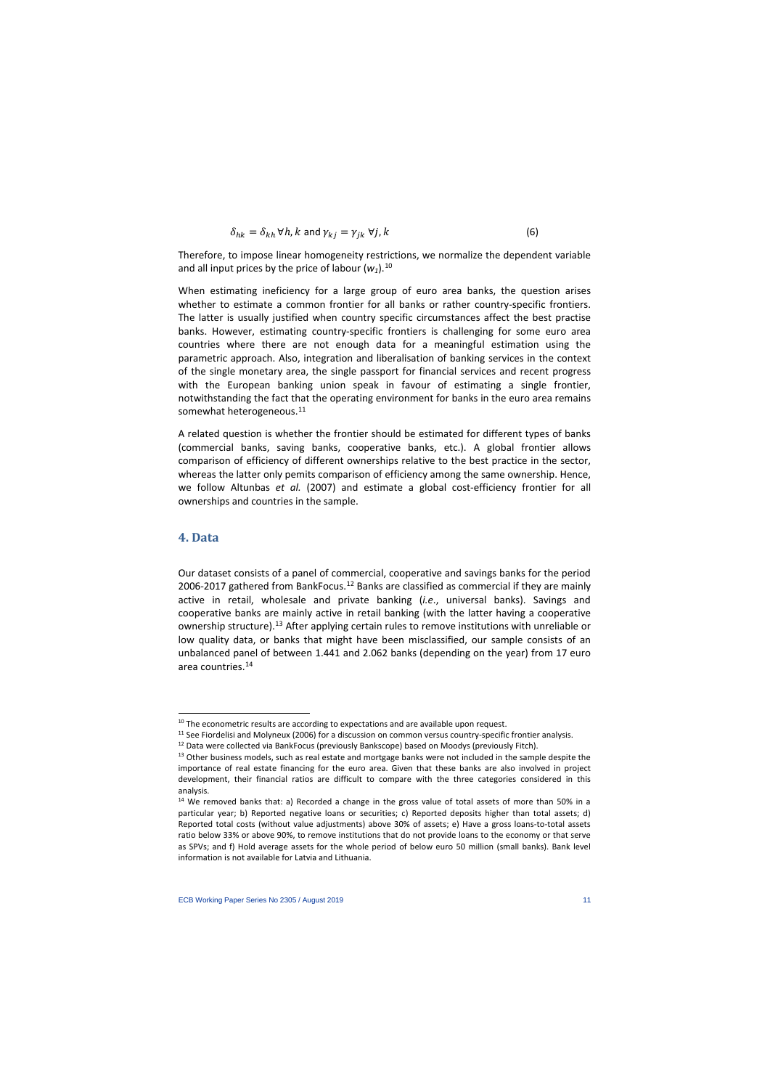$$
\delta_{hk} = \delta_{kh} \,\forall h, k \text{ and } \gamma_{kj} = \gamma_{jk} \,\forall j, k \tag{6}
$$

Therefore, to impose linear homogeneity restrictions, we normalize the dependent variable and all input prices by the price of labour  $(w_1)$ .<sup>[10](#page-11-0)</sup>

When estimating ineficiency for a large group of euro area banks, the question arises whether to estimate a common frontier for all banks or rather country-specific frontiers. The latter is usually justified when country specific circumstances affect the best practise banks. However, estimating country-specific frontiers is challenging for some euro area countries where there are not enough data for a meaningful estimation using the parametric approach. Also, integration and liberalisation of banking services in the context of the single monetary area, the single passport for financial services and recent progress with the European banking union speak in favour of estimating a single frontier, notwithstanding the fact that the operating environment for banks in the euro area remains somewhat heterogeneous.<sup>[11](#page-11-1)</sup>

A related question is whether the frontier should be estimated for different types of banks (commercial banks, saving banks, cooperative banks, etc.). A global frontier allows comparison of efficiency of different ownerships relative to the best practice in the sector, whereas the latter only pemits comparison of efficiency among the same ownership. Hence, we follow Altunbas *et al.* (2007) and estimate a global cost-efficiency frontier for all ownerships and countries in the sample.

### **4. Data**

 $\overline{\phantom{a}}$ 

Our dataset consists of a panel of commercial, cooperative and savings banks for the period 2006-2017 gathered from BankFocus.<sup>[12](#page-11-2)</sup> Banks are classified as commercial if they are mainly active in retail, wholesale and private banking (*i.e*., universal banks). Savings and cooperative banks are mainly active in retail banking (with the latter having a cooperative ownership structure).[13](#page-11-3) After applying certain rules to remove institutions with unreliable or low quality data, or banks that might have been misclassified, our sample consists of an unbalanced panel of between 1.441 and 2.062 banks (depending on the year) from 17 euro area countries.[14](#page-11-4)

<sup>&</sup>lt;sup>10</sup> The econometric results are according to expectations and are available upon request.<br><sup>11</sup> See Fiordelisi and Molyneux (2006) for a discussion on common versus country-specific frontier analysis.

<sup>&</sup>lt;sup>12</sup> Data were collected via BankFocus (previously Bankscope) based on Moodys (previously Fitch).<br><sup>13</sup> Other business models, such as real estate and mortgage banks were not included in the sample despite the

importance of real estate financing for the euro area. Given that these banks are also involved in project development, their financial ratios are difficult to compare with the three categories considered in this analysis.

<span id="page-11-4"></span><span id="page-11-3"></span><span id="page-11-2"></span><span id="page-11-1"></span><span id="page-11-0"></span> $14$  We removed banks that: a) Recorded a change in the gross value of total assets of more than 50% in a particular year; b) Reported negative loans or securities; c) Reported deposits higher than total assets; d) Reported total costs (without value adjustments) above 30% of assets; e) Have a gross loans-to-total assets ratio below 33% or above 90%, to remove institutions that do not provide loans to the economy or that serve as SPVs; and f) Hold average assets for the whole period of below euro 50 million (small banks). Bank level information is not available for Latvia and Lithuania.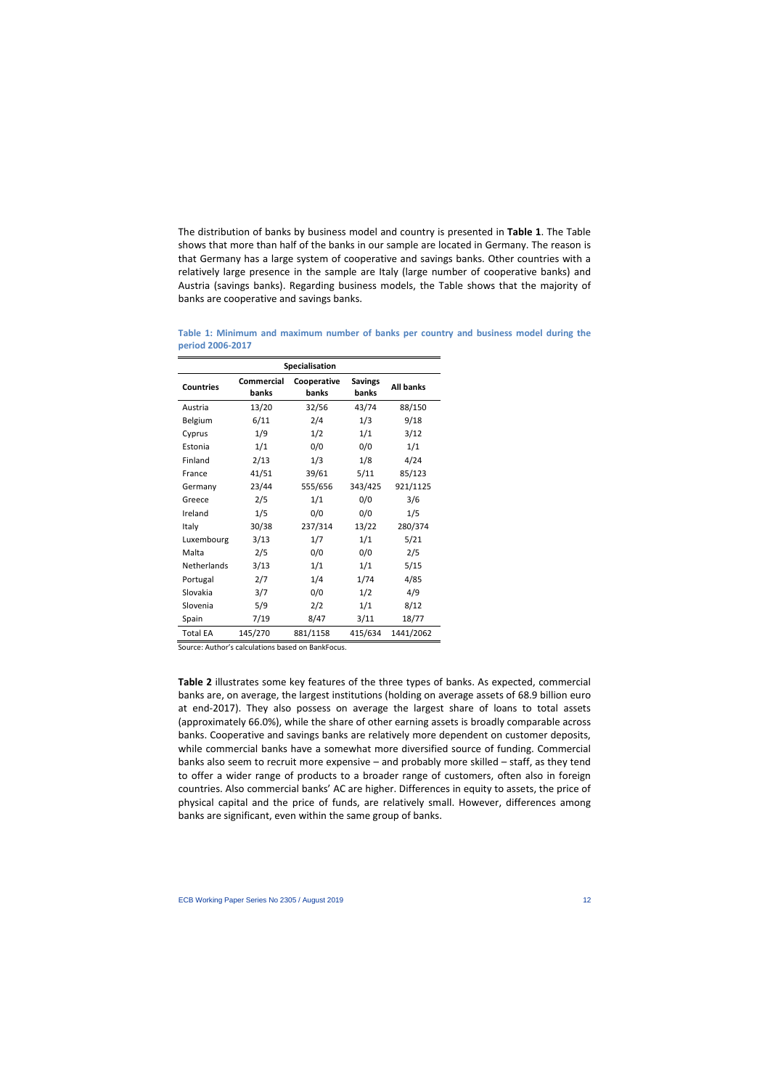The distribution of banks by business model and country is presented in **Table 1**. The Table shows that more than half of the banks in our sample are located in Germany. The reason is that Germany has a large system of cooperative and savings banks. Other countries with a relatively large presence in the sample are Italy (large number of cooperative banks) and Austria (savings banks). Regarding business models, the Table shows that the majority of banks are cooperative and savings banks.

| Specialisation     |                            |                      |                         |                  |  |  |  |  |  |  |
|--------------------|----------------------------|----------------------|-------------------------|------------------|--|--|--|--|--|--|
| <b>Countries</b>   | <b>Commercial</b><br>banks | Cooperative<br>banks | <b>Savings</b><br>banks | <b>All banks</b> |  |  |  |  |  |  |
| Austria            | 13/20                      | 32/56                | 43/74                   | 88/150           |  |  |  |  |  |  |
| Belgium            | 6/11                       | 2/4                  | 1/3                     | 9/18             |  |  |  |  |  |  |
| Cyprus             | 1/9                        | 1/2                  | 1/1                     | 3/12             |  |  |  |  |  |  |
| Estonia            | 1/1                        | 0/0                  | 0/0                     | 1/1              |  |  |  |  |  |  |
| Finland            | 2/13                       | 1/3                  | 1/8                     | 4/24             |  |  |  |  |  |  |
| France             | 41/51                      | 39/61                | 5/11                    | 85/123           |  |  |  |  |  |  |
| Germany            | 23/44                      | 555/656              | 343/425                 | 921/1125         |  |  |  |  |  |  |
| Greece             | 2/5                        | 1/1                  | 0/0                     | 3/6              |  |  |  |  |  |  |
| Ireland            | 1/5                        | 0/0                  | 0/0                     | 1/5              |  |  |  |  |  |  |
| Italy              | 30/38                      | 237/314              | 13/22                   | 280/374          |  |  |  |  |  |  |
| Luxembourg         | 3/13                       | 1/7                  | 1/1                     | 5/21             |  |  |  |  |  |  |
| Malta              | 2/5                        | 0/0                  | 0/0                     | 2/5              |  |  |  |  |  |  |
| <b>Netherlands</b> | 3/13                       | 1/1                  | 1/1                     | 5/15             |  |  |  |  |  |  |
| Portugal           | 2/7                        | 1/4                  | 1/74                    | 4/85             |  |  |  |  |  |  |
| Slovakia           | 3/7                        | 0/0                  | 1/2                     | 4/9              |  |  |  |  |  |  |
| Slovenia           | 5/9                        | 2/2                  | 1/1                     | 8/12             |  |  |  |  |  |  |
| Spain              | 7/19                       | 8/47                 | 3/11                    | 18/77            |  |  |  |  |  |  |
| <b>Total EA</b>    | 145/270                    | 881/1158             | 415/634                 | 1441/2062        |  |  |  |  |  |  |

**Table 1: Minimum and maximum number of banks per country and business model during the period 2006-2017**

Source: Author's calculations based on BankFocus.

**Table 2** illustrates some key features of the three types of banks. As expected, commercial banks are, on average, the largest institutions (holding on average assets of 68.9 billion euro at end-2017). They also possess on average the largest share of loans to total assets (approximately 66.0%), while the share of other earning assets is broadly comparable across banks. Cooperative and savings banks are relatively more dependent on customer deposits, while commercial banks have a somewhat more diversified source of funding. Commercial banks also seem to recruit more expensive – and probably more skilled – staff, as they tend to offer a wider range of products to a broader range of customers, often also in foreign countries. Also commercial banks' AC are higher. Differences in equity to assets, the price of physical capital and the price of funds, are relatively small. However, differences among banks are significant, even within the same group of banks.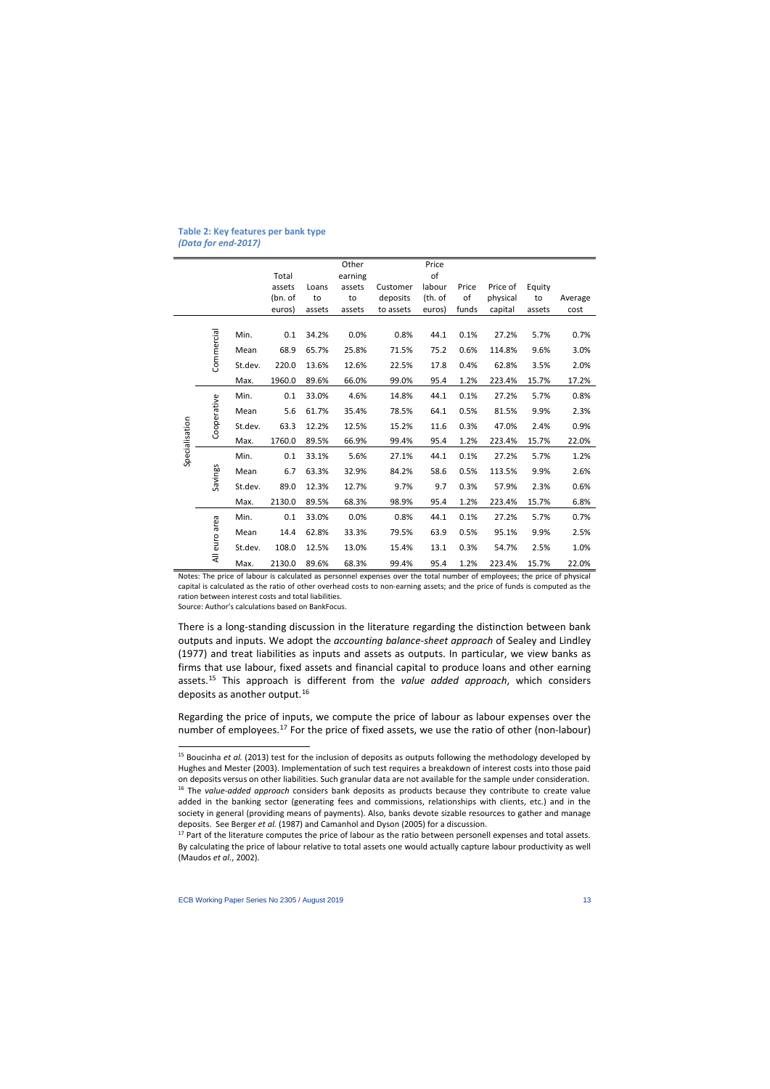#### **Table 2: Key features per bank type**  *(Data for end-2017)*

|                |               |         |         |        | Other   |           | Price   |       |          |        |         |
|----------------|---------------|---------|---------|--------|---------|-----------|---------|-------|----------|--------|---------|
|                |               |         | Total   |        | earning |           | of      |       |          |        |         |
|                |               |         | assets  | Loans  | assets  | Customer  | labour  | Price | Price of | Equity |         |
|                |               |         | (bn. of | to     | to      | deposits  | (th. of | οf    | physical | to     | Average |
|                |               |         | euros)  | assets | assets  | to assets | euros)  | funds | capital  | assets | cost    |
|                |               | Min.    | 0.1     | 34.2%  | 0.0%    | 0.8%      | 44.1    | 0.1%  | 27.2%    | 5.7%   | 0.7%    |
|                | Commercial    | Mean    | 68.9    | 65.7%  | 25.8%   | 71.5%     | 75.2    | 0.6%  | 114.8%   | 9.6%   | 3.0%    |
|                |               | St.dev. | 220.0   | 13.6%  | 12.6%   | 22.5%     | 17.8    | 0.4%  | 62.8%    | 3.5%   | 2.0%    |
|                |               | Max.    | 1960.0  | 89.6%  | 66.0%   | 99.0%     | 95.4    | 1.2%  | 223.4%   | 15.7%  | 17.2%   |
|                |               | Min.    | 0.1     | 33.0%  | 4.6%    | 14.8%     | 44.1    | 0.1%  | 27.2%    | 5.7%   | 0.8%    |
|                |               | Mean    | 5.6     | 61.7%  | 35.4%   | 78.5%     | 64.1    | 0.5%  | 81.5%    | 9.9%   | 2.3%    |
|                | Cooperative   | St.dev. | 63.3    | 12.2%  | 12.5%   | 15.2%     | 11.6    | 0.3%  | 47.0%    | 2.4%   | 0.9%    |
|                |               | Max.    | 1760.0  | 89.5%  | 66.9%   | 99.4%     | 95.4    | 1.2%  | 223.4%   | 15.7%  | 22.0%   |
| Specialisation |               | Min.    | 0.1     | 33.1%  | 5.6%    | 27.1%     | 44.1    | 0.1%  | 27.2%    | 5.7%   | 1.2%    |
|                | Savings       | Mean    | 6.7     | 63.3%  | 32.9%   | 84.2%     | 58.6    | 0.5%  | 113.5%   | 9.9%   | 2.6%    |
|                |               | St.dev. | 89.0    | 12.3%  | 12.7%   | 9.7%      | 9.7     | 0.3%  | 57.9%    | 2.3%   | 0.6%    |
|                |               | Max.    | 2130.0  | 89.5%  | 68.3%   | 98.9%     | 95.4    | 1.2%  | 223.4%   | 15.7%  | 6.8%    |
|                |               | Min.    | 0.1     | 33.0%  | 0.0%    | 0.8%      | 44.1    | 0.1%  | 27.2%    | 5.7%   | 0.7%    |
|                | All euro area | Mean    | 14.4    | 62.8%  | 33.3%   | 79.5%     | 63.9    | 0.5%  | 95.1%    | 9.9%   | 2.5%    |
|                |               | St.dev. | 108.0   | 12.5%  | 13.0%   | 15.4%     | 13.1    | 0.3%  | 54.7%    | 2.5%   | 1.0%    |
|                |               | Max.    | 2130.0  | 89.6%  | 68.3%   | 99.4%     | 95.4    | 1.2%  | 223.4%   | 15.7%  | 22.0%   |

Notes: The price of labour is calculated as personnel expenses over the total number of employees; the price of physical capital is calculated as the ratio of other overhead costs to non-earning assets; and the price of funds is computed as the ration between interest costs and total liabilities.

Source: Author's calculations based on BankFocus.

 $\overline{\phantom{a}}$ 

There is a long-standing discussion in the literature regarding the distinction between bank outputs and inputs. We adopt the *accounting balance-sheet approach* of Sealey and Lindley (1977) and treat liabilities as inputs and assets as outputs. In particular, we view banks as firms that use labour, fixed assets and financial capital to produce loans and other earning assets.[15](#page-13-0) This approach is different from the *value added approach*, which considers deposits as another output.<sup>[16](#page-13-1)</sup>

Regarding the price of inputs, we compute the price of labour as labour expenses over the number of employees.<sup>[17](#page-13-2)</sup> For the price of fixed assets, we use the ratio of other (non-labour)

<sup>15</sup> Boucinha *et al.* (2013) test for the inclusion of deposits as outputs following the methodology developed by Hughes and Mester (2003). Implementation of such test requires a breakdown of interest costs into those paid on deposits versus on other liabilities. Such granular data are not available for the sample under consideration. <sup>16</sup> The *value-added approach* considers bank deposits as products because they contribute to create value

added in the banking sector (generating fees and commissions, relationships with clients, etc.) and in the society in general (providing means of payments). Also, banks devote sizable resources to gather and manage deposits. See Berger *et al.* (1987) and Camanhol and Dyson (2005) for a discussion.

<span id="page-13-2"></span><span id="page-13-1"></span><span id="page-13-0"></span> $17$  Part of the literature computes the price of labour as the ratio between personell expenses and total assets. By calculating the price of labour relative to total assets one would actually capture labour productivity as well (Maudos *et al.*, 2002).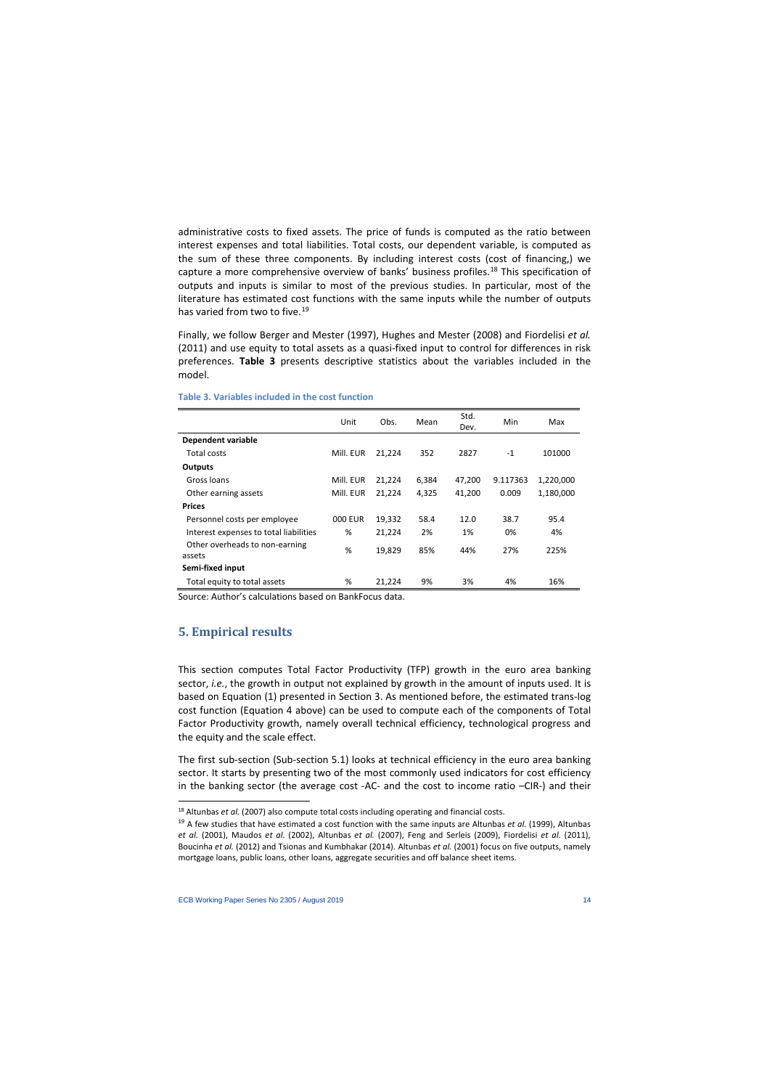administrative costs to fixed assets. The price of funds is computed as the ratio between interest expenses and total liabilities. Total costs, our dependent variable, is computed as the sum of these three components. By including interest costs (cost of financing,) we capture a more comprehensive overview of banks' business profiles.<sup>[18](#page-14-0)</sup> This specification of outputs and inputs is similar to most of the previous studies. In particular, most of the literature has estimated cost functions with the same inputs while the number of outputs has varied from two to five.<sup>19</sup>

Finally, we follow Berger and Mester (1997), Hughes and Mester (2008) and Fiordelisi *et al.* (2011) and use equity to total assets as a quasi-fixed input to control for differences in risk preferences. **Table 3** presents descriptive statistics about the variables included in the model.

|                                          | Unit      | Obs.   | Mean  | Std.<br>Dev. | Min      | Max       |
|------------------------------------------|-----------|--------|-------|--------------|----------|-----------|
| <b>Dependent variable</b>                |           |        |       |              |          |           |
| Total costs                              | Mill. EUR | 21,224 | 352   | 2827         | $-1$     | 101000    |
| Outputs                                  |           |        |       |              |          |           |
| Gross loans                              | Mill. EUR | 21,224 | 6,384 | 47,200       | 9.117363 | 1,220,000 |
| Other earning assets                     | Mill. EUR | 21,224 | 4.325 | 41,200       | 0.009    | 1,180,000 |
| <b>Prices</b>                            |           |        |       |              |          |           |
| Personnel costs per employee             | 000 EUR   | 19,332 | 58.4  | 12.0         | 38.7     | 95.4      |
| Interest expenses to total liabilities   | %         | 21,224 | 2%    | 1%           | 0%       | 4%        |
| Other overheads to non-earning<br>assets | %         | 19,829 | 85%   | 44%          | 27%      | 225%      |
| Semi-fixed input                         |           |        |       |              |          |           |
| Total equity to total assets             | %         | 21,224 | 9%    | 3%           | 4%       | 16%       |

#### **Table 3. Variables included in the cost function**

Source: Author's calculations based on BankFocus data.

# **5. Empirical results**

 $\overline{\phantom{a}}$ 

This section computes Total Factor Productivity (TFP) growth in the euro area banking sector, *i.e.*, the growth in output not explained by growth in the amount of inputs used. It is based on Equation (1) presented in Section 3. As mentioned before, the estimated trans-log cost function (Equation 4 above) can be used to compute each of the components of Total Factor Productivity growth, namely overall technical efficiency, technological progress and the equity and the scale effect.

The first sub-section (Sub-section 5.1) looks at technical efficiency in the euro area banking sector. It starts by presenting two of the most commonly used indicators for cost efficiency in the banking sector (the average cost -AC- and the cost to income ratio –CIR-) and their

<sup>&</sup>lt;sup>18</sup> Altunbas *et al.* (2007) also compute total costs including operating and financial costs.

<span id="page-14-1"></span><span id="page-14-0"></span><sup>19</sup> A few studies that have estimated a cost function with the same inputs are Altunbas *et al.* (1999), Altunbas *et al.* (2001), Maudos *et al.* (2002), Altunbas *et al.* (2007), Feng and Serleis (2009), Fiordelisi *et al.* (2011), Boucinha *et al.* (2012) and Tsionas and Kumbhakar (2014). Altunbas *et al.* (2001) focus on five outputs, namely mortgage loans, public loans, other loans, aggregate securities and off balance sheet items.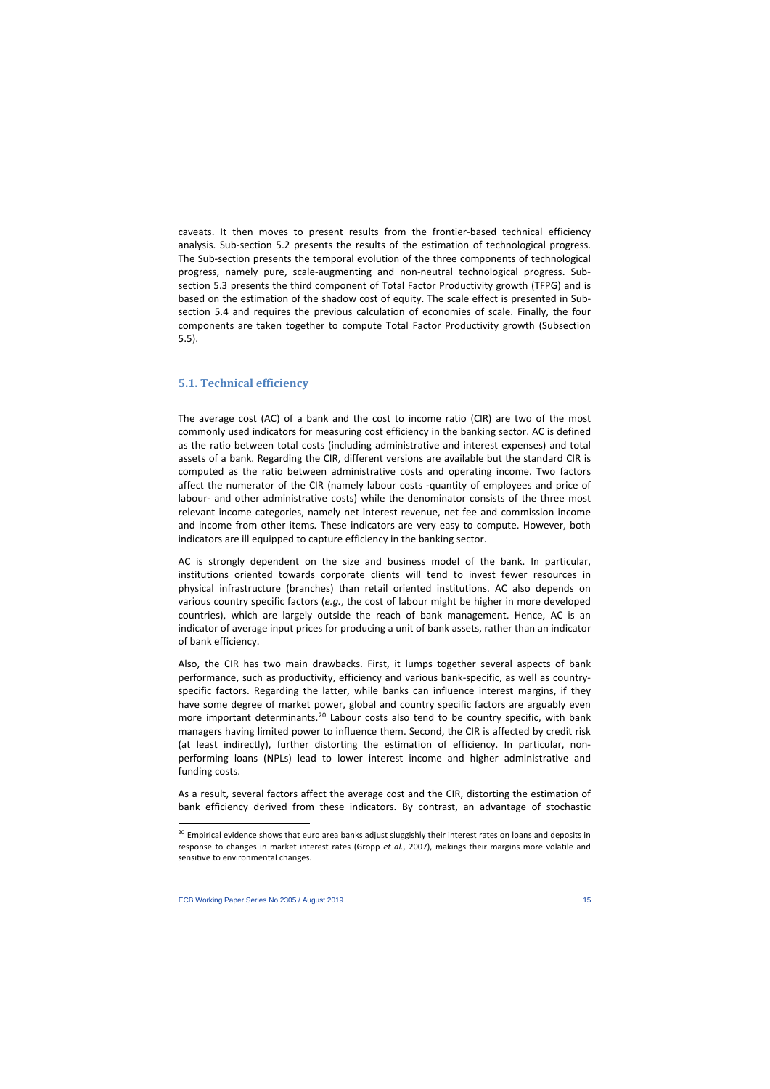caveats. It then moves to present results from the frontier-based technical efficiency analysis. Sub-section 5.2 presents the results of the estimation of technological progress. The Sub-section presents the temporal evolution of the three components of technological progress, namely pure, scale-augmenting and non-neutral technological progress. Subsection 5.3 presents the third component of Total Factor Productivity growth (TFPG) and is based on the estimation of the shadow cost of equity. The scale effect is presented in Subsection 5.4 and requires the previous calculation of economies of scale. Finally, the four components are taken together to compute Total Factor Productivity growth (Subsection 5.5).

### **5.1. Technical efficiency**

The average cost (AC) of a bank and the cost to income ratio (CIR) are two of the most commonly used indicators for measuring cost efficiency in the banking sector. AC is defined as the ratio between total costs (including administrative and interest expenses) and total assets of a bank. Regarding the CIR, different versions are available but the standard CIR is computed as the ratio between administrative costs and operating income. Two factors affect the numerator of the CIR (namely labour costs -quantity of employees and price of labour- and other administrative costs) while the denominator consists of the three most relevant income categories, namely net interest revenue, net fee and commission income and income from other items. These indicators are very easy to compute. However, both indicators are ill equipped to capture efficiency in the banking sector.

AC is strongly dependent on the size and business model of the bank. In particular, institutions oriented towards corporate clients will tend to invest fewer resources in physical infrastructure (branches) than retail oriented institutions. AC also depends on various country specific factors (*e.g.*, the cost of labour might be higher in more developed countries), which are largely outside the reach of bank management. Hence, AC is an indicator of average input prices for producing a unit of bank assets, rather than an indicator of bank efficiency.

Also, the CIR has two main drawbacks. First, it lumps together several aspects of bank performance, such as productivity, efficiency and various bank-specific, as well as countryspecific factors. Regarding the latter, while banks can influence interest margins, if they have some degree of market power, global and country specific factors are arguably even more important determinants.<sup>[20](#page-15-0)</sup> Labour costs also tend to be country specific, with bank managers having limited power to influence them. Second, the CIR is affected by credit risk (at least indirectly), further distorting the estimation of efficiency. In particular, nonperforming loans (NPLs) lead to lower interest income and higher administrative and funding costs.

As a result, several factors affect the average cost and the CIR, distorting the estimation of bank efficiency derived from these indicators. By contrast, an advantage of stochastic

<span id="page-15-0"></span><sup>&</sup>lt;sup>20</sup> Empirical evidence shows that euro area banks adjust sluggishly their interest rates on loans and deposits in response to changes in market interest rates (Gropp *et al.*, 2007), makings their margins more volatile and sensitive to environmental changes.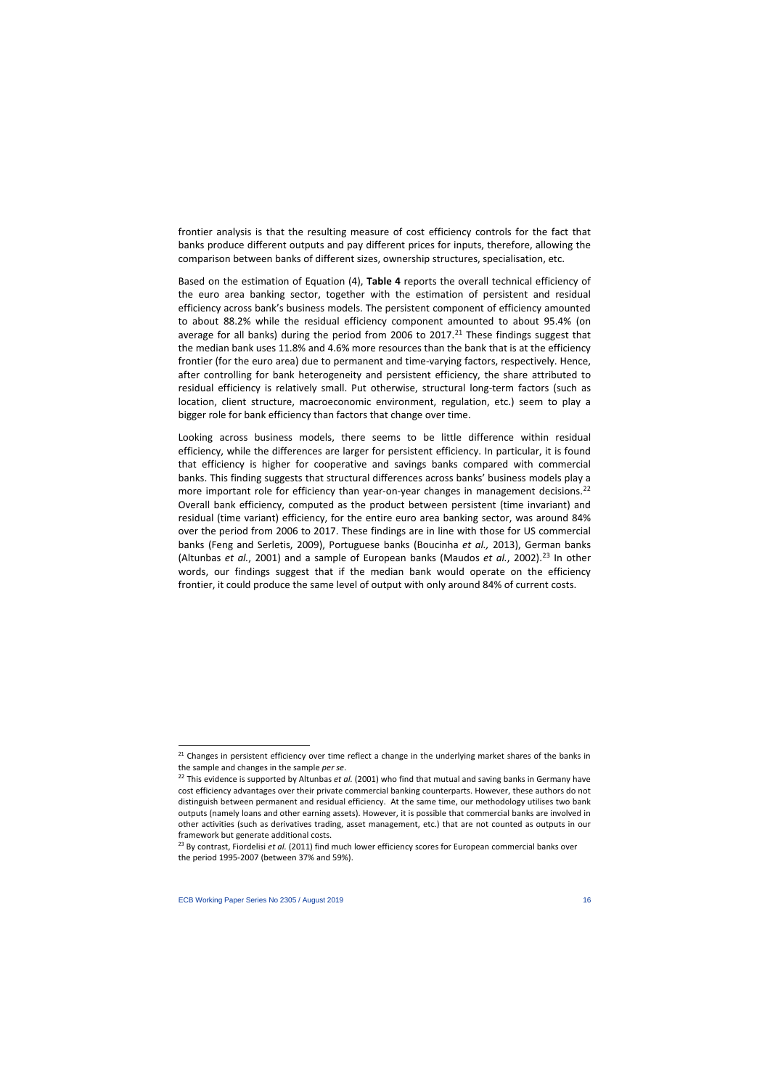frontier analysis is that the resulting measure of cost efficiency controls for the fact that banks produce different outputs and pay different prices for inputs, therefore, allowing the comparison between banks of different sizes, ownership structures, specialisation, etc.

Based on the estimation of Equation (4), **Table 4** reports the overall technical efficiency of the euro area banking sector, together with the estimation of persistent and residual efficiency across bank's business models. The persistent component of efficiency amounted to about 88.2% while the residual efficiency component amounted to about 95.4% (on average for all banks) during the period from 2006 to 2017. $^{21}$  These findings suggest that the median bank uses 11.8% and 4.6% more resources than the bank that is at the efficiency frontier (for the euro area) due to permanent and time-varying factors, respectively. Hence, after controlling for bank heterogeneity and persistent efficiency, the share attributed to residual efficiency is relatively small. Put otherwise, structural long-term factors (such as location, client structure, macroeconomic environment, regulation, etc.) seem to play a bigger role for bank efficiency than factors that change over time.

Looking across business models, there seems to be little difference within residual efficiency, while the differences are larger for persistent efficiency. In particular, it is found that efficiency is higher for cooperative and savings banks compared with commercial banks. This finding suggests that structural differences across banks' business models play a more important role for efficiency than year-on-year changes in management decisions.<sup>[22](#page-16-1)</sup> Overall bank efficiency, computed as the product between persistent (time invariant) and residual (time variant) efficiency, for the entire euro area banking sector, was around 84% over the period from 2006 to 2017. These findings are in line with those for US commercial banks (Feng and Serletis, 2009), Portuguese banks (Boucinha *et al.,* 2013), German banks (Altunbas *et al.*, 2001) and a sample of European banks (Maudos *et al.*, 2002).<sup>[23](#page-16-2)</sup> In other words, our findings suggest that if the median bank would operate on the efficiency frontier, it could produce the same level of output with only around 84% of current costs.

 $\overline{a}$ 

 $21$  Changes in persistent efficiency over time reflect a change in the underlying market shares of the banks in the sample and changes in the sample *per se*.<br><sup>22</sup> This evidence is supported by Altunbas *et al.* (2001) who find that mutual and saving banks in Germany have

cost efficiency advantages over their private commercial banking counterparts. However, these authors do not distinguish between permanent and residual efficiency. At the same time, our methodology utilises two bank outputs (namely loans and other earning assets). However, it is possible that commercial banks are involved in other activities (such as derivatives trading, asset management, etc.) that are not counted as outputs in our framework but generate additional costs.

<span id="page-16-2"></span><span id="page-16-1"></span><span id="page-16-0"></span><sup>23</sup> By contrast, Fiordelisi *et al.* (2011) find much lower efficiency scores for European commercial banks over the period 1995-2007 (between 37% and 59%).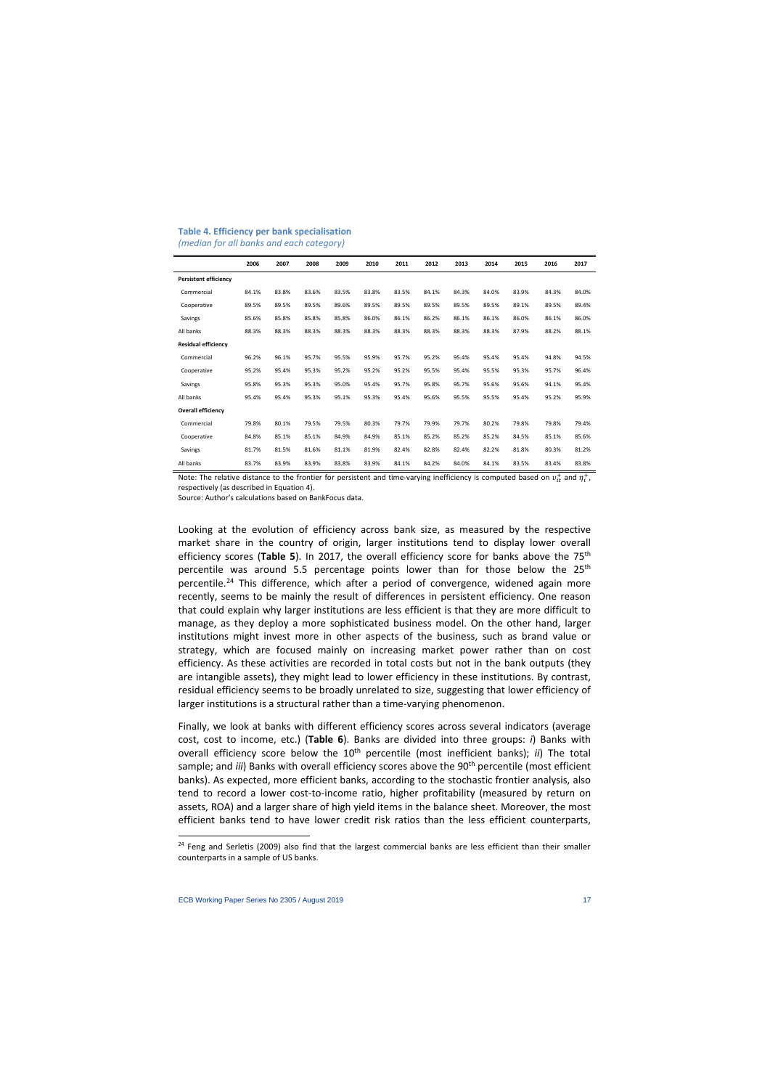|                              | 2006  | 2007  | 2008  | 2009  | 2010  | 2011  | 2012  | 2013  | 2014  | 2015  | 2016  | 2017  |
|------------------------------|-------|-------|-------|-------|-------|-------|-------|-------|-------|-------|-------|-------|
| <b>Persistent efficiency</b> |       |       |       |       |       |       |       |       |       |       |       |       |
| Commercial                   | 84.1% | 83.8% | 83.6% | 83.5% | 83.8% | 83.5% | 84.1% | 84.3% | 84.0% | 83.9% | 84.3% | 84.0% |
| Cooperative                  | 89.5% | 89.5% | 89.5% | 89.6% | 89.5% | 89.5% | 89.5% | 89.5% | 89.5% | 89.1% | 89.5% | 89.4% |
| Savings                      | 85.6% | 85.8% | 85.8% | 85.8% | 86.0% | 86.1% | 86.2% | 86.1% | 86.1% | 86.0% | 86.1% | 86.0% |
| All banks                    | 88.3% | 88.3% | 88.3% | 88.3% | 88.3% | 88.3% | 88.3% | 88.3% | 88.3% | 87.9% | 88.2% | 88.1% |
| <b>Residual efficiency</b>   |       |       |       |       |       |       |       |       |       |       |       |       |
| Commercial                   | 96.2% | 96.1% | 95.7% | 95.5% | 95.9% | 95.7% | 95.2% | 95.4% | 95.4% | 95.4% | 94.8% | 94.5% |
| Cooperative                  | 95.2% | 95.4% | 95.3% | 95.2% | 95.2% | 95.2% | 95.5% | 95.4% | 95.5% | 95.3% | 95.7% | 96.4% |
| Savings                      | 95.8% | 95.3% | 95.3% | 95.0% | 95.4% | 95.7% | 95.8% | 95.7% | 95.6% | 95.6% | 94.1% | 95.4% |
| All banks                    | 95.4% | 95.4% | 95.3% | 95.1% | 95.3% | 95.4% | 95.6% | 95.5% | 95.5% | 95.4% | 95.2% | 95.9% |
| <b>Overall efficiency</b>    |       |       |       |       |       |       |       |       |       |       |       |       |
| Commercial                   | 79.8% | 80.1% | 79.5% | 79.5% | 80.3% | 79.7% | 79.9% | 79.7% | 80.2% | 79.8% | 79.8% | 79.4% |
| Cooperative                  | 84.8% | 85.1% | 85.1% | 84.9% | 84.9% | 85.1% | 85.2% | 85.2% | 85.2% | 84.5% | 85.1% | 85.6% |
| Savings                      | 81.7% | 81.5% | 81.6% | 81.1% | 81.9% | 82.4% | 82.8% | 82.4% | 82.2% | 81.8% | 80.3% | 81.2% |
| All banks                    | 83.7% | 83.9% | 83.9% | 83.8% | 83.9% | 84.1% | 84.2% | 84.0% | 84.1% | 83.5% | 83.4% | 83.8% |

#### **Table 4. Efficiency per bank specialisation** *(median for all banks and each category)*

Note: The relative distance to the frontier for persistent and time-varying inefficiency is computed based on  $v_{it}^+$  and  $\eta_i^+$ , respectively (as described in Equation 4).

Source: Author's calculations based on BankFocus data.

Looking at the evolution of efficiency across bank size, as measured by the respective market share in the country of origin, larger institutions tend to display lower overall efficiency scores (**Table 5**). In 2017, the overall efficiency score for banks above the 75th percentile was around 5.5 percentage points lower than for those below the  $25<sup>th</sup>$ percentile.<sup>24</sup> This difference, which after a period of convergence, widened again more recently, seems to be mainly the result of differences in persistent efficiency. One reason that could explain why larger institutions are less efficient is that they are more difficult to manage, as they deploy a more sophisticated business model. On the other hand, larger institutions might invest more in other aspects of the business, such as brand value or strategy, which are focused mainly on increasing market power rather than on cost efficiency. As these activities are recorded in total costs but not in the bank outputs (they are intangible assets), they might lead to lower efficiency in these institutions. By contrast, residual efficiency seems to be broadly unrelated to size, suggesting that lower efficiency of larger institutions is a structural rather than a time-varying phenomenon.

Finally, we look at banks with different efficiency scores across several indicators (average cost, cost to income, etc.) (**Table 6**). Banks are divided into three groups: *i*) Banks with overall efficiency score below the 10<sup>th</sup> percentile (most inefficient banks); *ii*) The total sample; and *iii*) Banks with overall efficiency scores above the 90<sup>th</sup> percentile (most efficient banks). As expected, more efficient banks, according to the stochastic frontier analysis, also tend to record a lower cost-to-income ratio, higher profitability (measured by return on assets, ROA) and a larger share of high yield items in the balance sheet. Moreover, the most efficient banks tend to have lower credit risk ratios than the less efficient counterparts,

<span id="page-17-0"></span><sup>&</sup>lt;sup>24</sup> Feng and Serletis (2009) also find that the largest commercial banks are less efficient than their smaller counterparts in a sample of US banks.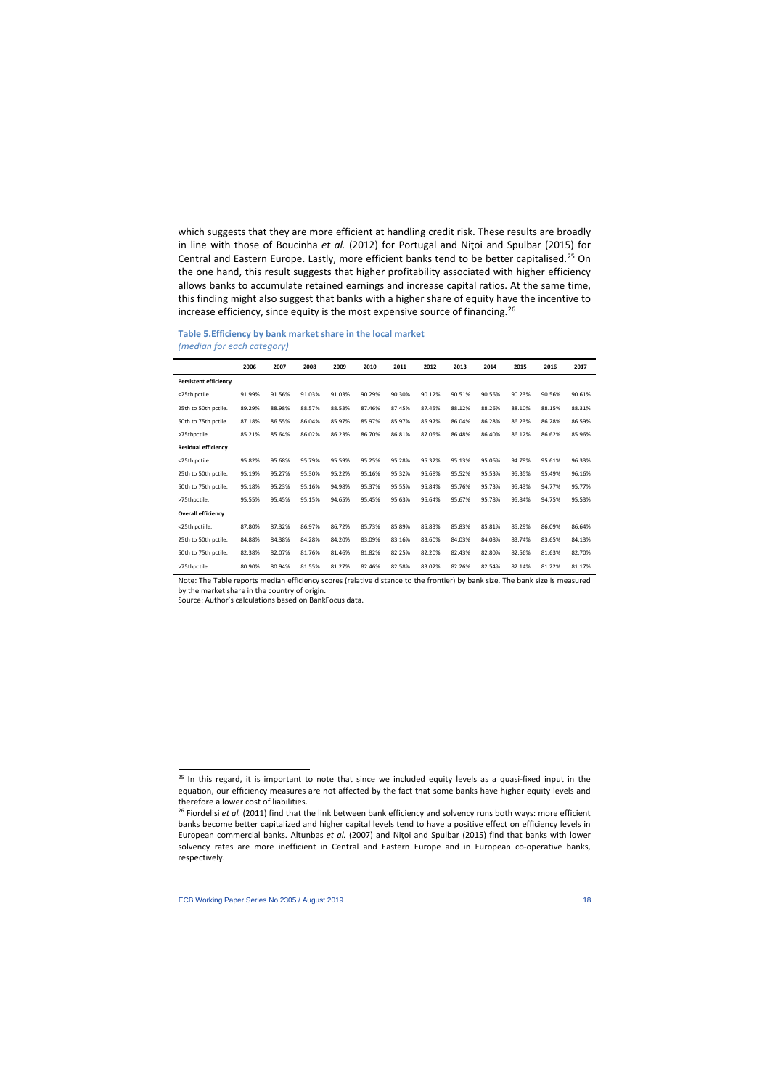which suggests that they are more efficient at handling credit risk. These results are broadly in line with those of Boucinha *et al.* (2012) for Portugal and Niţoi and Spulbar (2015) for Central and Eastern Europe. Lastly, more efficient banks tend to be better capitalised.<sup>[25](#page-18-0)</sup> On the one hand, this result suggests that higher profitability associated with higher efficiency allows banks to accumulate retained earnings and increase capital ratios. At the same time, this finding might also suggest that banks with a higher share of equity have the incentive to increase efficiency, since equity is the most expensive source of financing.<sup>26</sup>

#### **Table 5.Efficiency by bank market share in the local market** *(median for each category)*

|                              | 2006   | 2007   | 2008   | 2009   | 2010   | 2011   | 2012   | 2013   | 2014   | 2015   | 2016   | 2017   |
|------------------------------|--------|--------|--------|--------|--------|--------|--------|--------|--------|--------|--------|--------|
| <b>Persistent efficiency</b> |        |        |        |        |        |        |        |        |        |        |        |        |
| <25th pctile.                | 91.99% | 91.56% | 91.03% | 91.03% | 90.29% | 90.30% | 90.12% | 90.51% | 90.56% | 90.23% | 90.56% | 90.61% |
| 25th to 50th pctile.         | 89.29% | 88.98% | 88.57% | 88.53% | 87.46% | 87.45% | 87.45% | 88.12% | 88.26% | 88.10% | 88.15% | 88.31% |
| 50th to 75th pctile.         | 87.18% | 86.55% | 86.04% | 85.97% | 85.97% | 85.97% | 85.97% | 86.04% | 86.28% | 86.23% | 86.28% | 86.59% |
| >75thpctile.                 | 85.21% | 85.64% | 86.02% | 86.23% | 86.70% | 86.81% | 87.05% | 86.48% | 86.40% | 86.12% | 86.62% | 85.96% |
| <b>Residual efficiency</b>   |        |        |        |        |        |        |        |        |        |        |        |        |
| <25th pctile.                | 95.82% | 95.68% | 95.79% | 95.59% | 95.25% | 95.28% | 95.32% | 95.13% | 95.06% | 94.79% | 95.61% | 96.33% |
| 25th to 50th pctile.         | 95.19% | 95.27% | 95.30% | 95.22% | 95.16% | 95.32% | 95.68% | 95.52% | 95.53% | 95.35% | 95.49% | 96.16% |
| 50th to 75th pctile.         | 95.18% | 95.23% | 95.16% | 94.98% | 95.37% | 95.55% | 95.84% | 95.76% | 95.73% | 95.43% | 94.77% | 95.77% |
| >75thpctile.                 | 95.55% | 95.45% | 95.15% | 94.65% | 95.45% | 95.63% | 95.64% | 95.67% | 95.78% | 95.84% | 94.75% | 95.53% |
| <b>Overall efficiency</b>    |        |        |        |        |        |        |        |        |        |        |        |        |
| <25th pctille.               | 87.80% | 87.32% | 86.97% | 86.72% | 85.73% | 85.89% | 85.83% | 85.83% | 85.81% | 85.29% | 86.09% | 86.64% |
| 25th to 50th pctile.         | 84.88% | 84.38% | 84.28% | 84.20% | 83.09% | 83.16% | 83.60% | 84.03% | 84.08% | 83.74% | 83.65% | 84.13% |
| 50th to 75th pctile.         | 82.38% | 82.07% | 81.76% | 81.46% | 81.82% | 82.25% | 82.20% | 82.43% | 82.80% | 82.56% | 81.63% | 82.70% |
| >75thpctile.                 | 80.90% | 80.94% | 81.55% | 81.27% | 82.46% | 82.58% | 83.02% | 82.26% | 82.54% | 82.14% | 81.22% | 81.17% |

Note: The Table reports median efficiency scores (relative distance to the frontier) by bank size. The bank size is measured by the market share in the country of origin.

Source: Author's calculations based on BankFocus data.

l

<sup>&</sup>lt;sup>25</sup> In this regard, it is important to note that since we included equity levels as a quasi-fixed input in the equation, our efficiency measures are not affected by the fact that some banks have higher equity levels and therefore a lower cost of liabilities.

<span id="page-18-1"></span><span id="page-18-0"></span><sup>&</sup>lt;sup>26</sup> Fiordelisi et al. (2011) find that the link between bank efficiency and solvency runs both ways: more efficient banks become better capitalized and higher capital levels tend to have a positive effect on efficiency levels in European commercial banks. Altunbas *et al.* (2007) and Niţoi and Spulbar (2015) find that banks with lower solvency rates are more inefficient in Central and Eastern Europe and in European co-operative banks, respectively.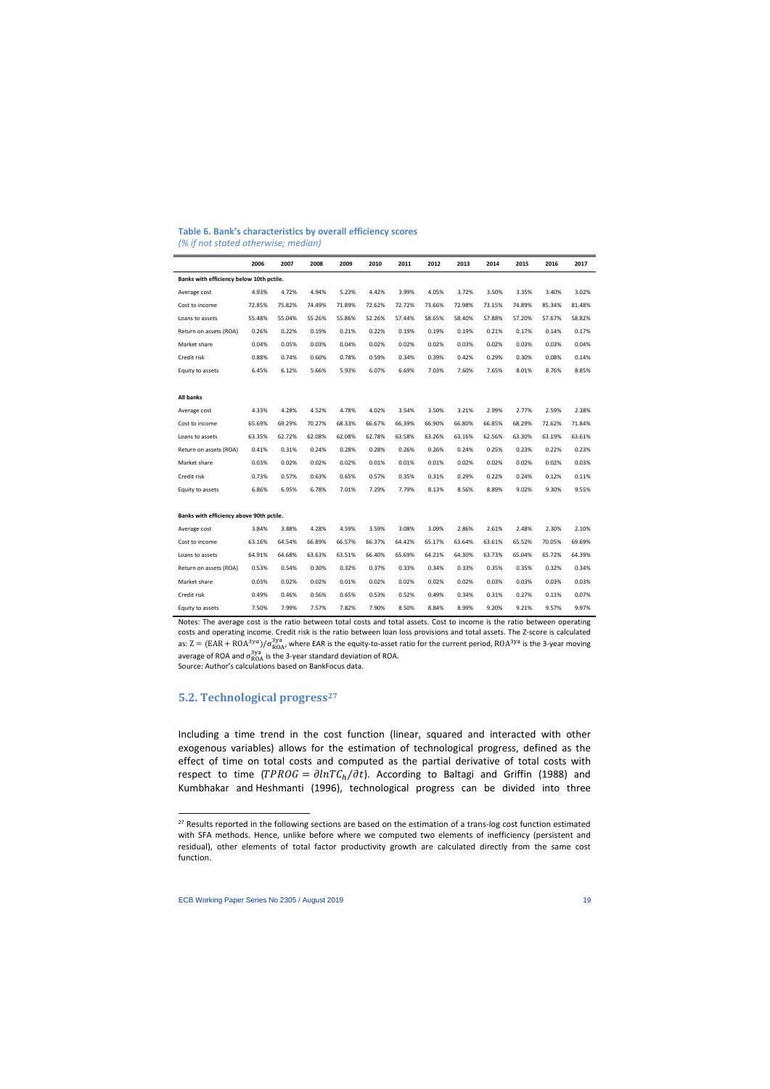#### **Table 6. Bank's characteristics by overall efficiency scores** *(% if not stated otherwise; median)*

|                                          | 2006   | 2007   | 2008   | 2009   | 2010   | 2011   | 2012   | 2013   | 2014   | 2015   | 2016   | 2017   |
|------------------------------------------|--------|--------|--------|--------|--------|--------|--------|--------|--------|--------|--------|--------|
| Banks with efficiency below 10th pctile. |        |        |        |        |        |        |        |        |        |        |        |        |
| Average cost                             | 4.93%  | 4.72%  | 4.94%  | 5.23%  | 4.42%  | 3.99%  | 4.05%  | 3.72%  | 3.50%  | 3.35%  | 3.40%  | 3.02%  |
| Cost to income                           | 72.85% | 75.82% | 74.49% | 71.89% | 72.62% | 72.72% | 73.66% | 72.98% | 73.15% | 74.89% | 85.34% | 81.48% |
| Loans to assets                          | 55.48% | 55.04% | 55.26% | 55.86% | 52.26% | 57.44% | 58.65% | 58.40% | 57.88% | 57.20% | 57.67% | 58.82% |
| Return on assets (ROA)                   | 0.26%  | 0.22%  | 0.19%  | 0.21%  | 0.22%  | 0.19%  | 0.19%  | 0.19%  | 0.21%  | 0.17%  | 0.14%  | 0.17%  |
| Market share                             | 0.04%  | 0.05%  | 0.03%  | 0.04%  | 0.02%  | 0.02%  | 0.02%  | 0.03%  | 0.02%  | 0.03%  | 0.03%  | 0.04%  |
| Credit risk                              | 0.88%  | 0.74%  | 0.60%  | 0.78%  | 0.59%  | 0.34%  | 0.39%  | 0.42%  | 0.29%  | 0.30%  | 0.08%  | 0.14%  |
| Equity to assets                         | 6.45%  | 6.12%  | 5.66%  | 5.93%  | 6.07%  | 6.69%  | 7.03%  | 7.60%  | 7.65%  | 8.01%  | 8.76%  | 8.85%  |
|                                          |        |        |        |        |        |        |        |        |        |        |        |        |
| <b>All banks</b>                         |        |        |        |        |        |        |        |        |        |        |        |        |
| Average cost                             | 4.33%  | 4.28%  | 4.52%  | 4.78%  | 4.02%  | 3.54%  | 3.50%  | 3.21%  | 2.99%  | 2.77%  | 2.59%  | 2.38%  |
| Cost to income                           | 65.69% | 69.29% | 70.27% | 68.33% | 66.67% | 66.39% | 66.90% | 66.80% | 66.85% | 68.29% | 72.62% | 71.84% |
| Loans to assets                          | 63.35% | 62.72% | 62.08% | 62.08% | 62.78% | 63.58% | 63.26% | 63.16% | 62.56% | 63.30% | 63.19% | 63.61% |
| Return on assets (ROA)                   | 0.41%  | 0.31%  | 0.24%  | 0.28%  | 0.28%  | 0.26%  | 0.26%  | 0.24%  | 0.25%  | 0.23%  | 0.22%  | 0.23%  |
| Market share                             | 0.03%  | 0.02%  | 0.02%  | 0.02%  | 0.01%  | 0.01%  | 0.01%  | 0.02%  | 0.02%  | 0.02%  | 0.02%  | 0.03%  |
| Credit risk                              | 0.73%  | 0.57%  | 0.63%  | 0.65%  | 0.57%  | 0.35%  | 0.31%  | 0.29%  | 0.22%  | 0.24%  | 0.12%  | 0.11%  |
| Equity to assets                         | 6.86%  | 6.95%  | 6.78%  | 7.01%  | 7.29%  | 7.79%  | 8.13%  | 8.56%  | 8.89%  | 9.02%  | 9.30%  | 9.55%  |
|                                          |        |        |        |        |        |        |        |        |        |        |        |        |
| Banks with efficiency above 90th pctile. |        |        |        |        |        |        |        |        |        |        |        |        |
| Average cost                             | 3.84%  | 3.88%  | 4.28%  | 4.59%  | 3.59%  | 3.08%  | 3.09%  | 2.86%  | 2.61%  | 2.48%  | 2.30%  | 2.10%  |
| Cost to income                           | 63.16% | 64.54% | 66.89% | 66.57% | 66.37% | 64.42% | 65.17% | 63.64% | 63.61% | 65.52% | 70.05% | 69.69% |
| Loans to assets                          | 64.91% | 64.68% | 63.63% | 63.51% | 66.40% | 65.69% | 64.21% | 64.30% | 63.73% | 65.04% | 65.72% | 64.39% |
| Return on assets (ROA)                   | 0.53%  | 0.54%  | 0.30%  | 0.32%  | 0.37%  | 0.33%  | 0.34%  | 0.33%  | 0.35%  | 0.35%  | 0.32%  | 0.34%  |
| Market share                             | 0.03%  | 0.02%  | 0.02%  | 0.01%  | 0.02%  | 0.02%  | 0.02%  | 0.02%  | 0.03%  | 0.03%  | 0.03%  | 0.03%  |
| Credit risk                              | 0.49%  | 0.46%  | 0.56%  | 0.65%  | 0.53%  | 0.52%  | 0.49%  | 0.34%  | 0.31%  | 0.27%  | 0.11%  | 0.07%  |
| Equity to assets                         | 7.50%  | 7.99%  | 7.57%  | 7.82%  | 7.90%  | 8.50%  | 8.84%  | 8.99%  | 9.20%  | 9.21%  | 9.57%  | 9.97%  |

Notes: The average cost is the ratio between total costs and total assets. Cost to income is the ratio between operating costs and operating income. Credit risk is the ratio between loan loss provisions and total assets. The Z-score is calculated as:  $Z = (EAR + ROA^{3ya})/\sigma_{ROA}^{3ya}$ , where EAR is the equity-to-asset ratio for the current period,  $ROA^{3ya}$  is the 3-year moving average of ROA and  $\sigma_{\text{ROA}}^{\text{3ya}}$  is the 3-year standard deviation of ROA. Source: Author's calculations based on BankFocus data.

### **5.2. Technological progress[27](#page-19-0)**

Including a time trend in the cost function (linear, squared and interacted with other exogenous variables) allows for the estimation of technological progress, defined as the effect of time on total costs and computed as the partial derivative of total costs with respect to time ( $TPROG = \partial lnTC_h/\partial t$ ). According to Baltagi and Griffin (1988) and Kumbhakar and Heshmanti (1996), technological progress can be divided into three

<span id="page-19-0"></span><sup>&</sup>lt;sup>27</sup> Results reported in the following sections are based on the estimation of a trans-log cost function estimated with SFA methods. Hence, unlike before where we computed two elements of inefficiency (persistent and residual), other elements of total factor productivity growth are calculated directly from the same cost function.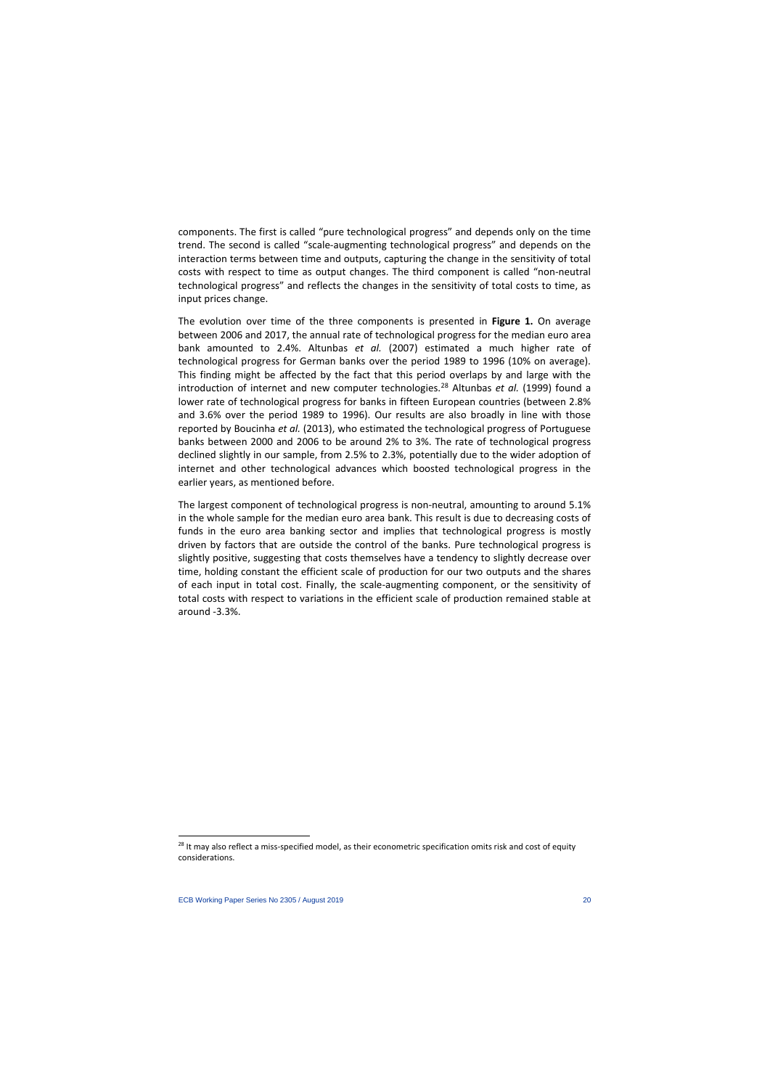components. The first is called "pure technological progress" and depends only on the time trend. The second is called "scale-augmenting technological progress" and depends on the interaction terms between time and outputs, capturing the change in the sensitivity of total costs with respect to time as output changes. The third component is called "non-neutral technological progress" and reflects the changes in the sensitivity of total costs to time, as input prices change.

The evolution over time of the three components is presented in **Figure 1.** On average between 2006 and 2017, the annual rate of technological progress for the median euro area bank amounted to 2.4%. Altunbas *et al.* (2007) estimated a much higher rate of technological progress for German banks over the period 1989 to 1996 (10% on average). This finding might be affected by the fact that this period overlaps by and large with the introduction of internet and new computer technologies.[28](#page-20-0) Altunbas *et al.* (1999) found a lower rate of technological progress for banks in fifteen European countries (between 2.8% and 3.6% over the period 1989 to 1996). Our results are also broadly in line with those reported by Boucinha *et al.* (2013), who estimated the technological progress of Portuguese banks between 2000 and 2006 to be around 2% to 3%. The rate of technological progress declined slightly in our sample, from 2.5% to 2.3%, potentially due to the wider adoption of internet and other technological advances which boosted technological progress in the earlier years, as mentioned before.

The largest component of technological progress is non-neutral, amounting to around 5.1% in the whole sample for the median euro area bank. This result is due to decreasing costs of funds in the euro area banking sector and implies that technological progress is mostly driven by factors that are outside the control of the banks. Pure technological progress is slightly positive, suggesting that costs themselves have a tendency to slightly decrease over time, holding constant the efficient scale of production for our two outputs and the shares of each input in total cost. Finally, the scale-augmenting component, or the sensitivity of total costs with respect to variations in the efficient scale of production remained stable at around -3.3%.

<span id="page-20-0"></span><sup>&</sup>lt;sup>28</sup> It may also reflect a miss-specified model, as their econometric specification omits risk and cost of equity considerations.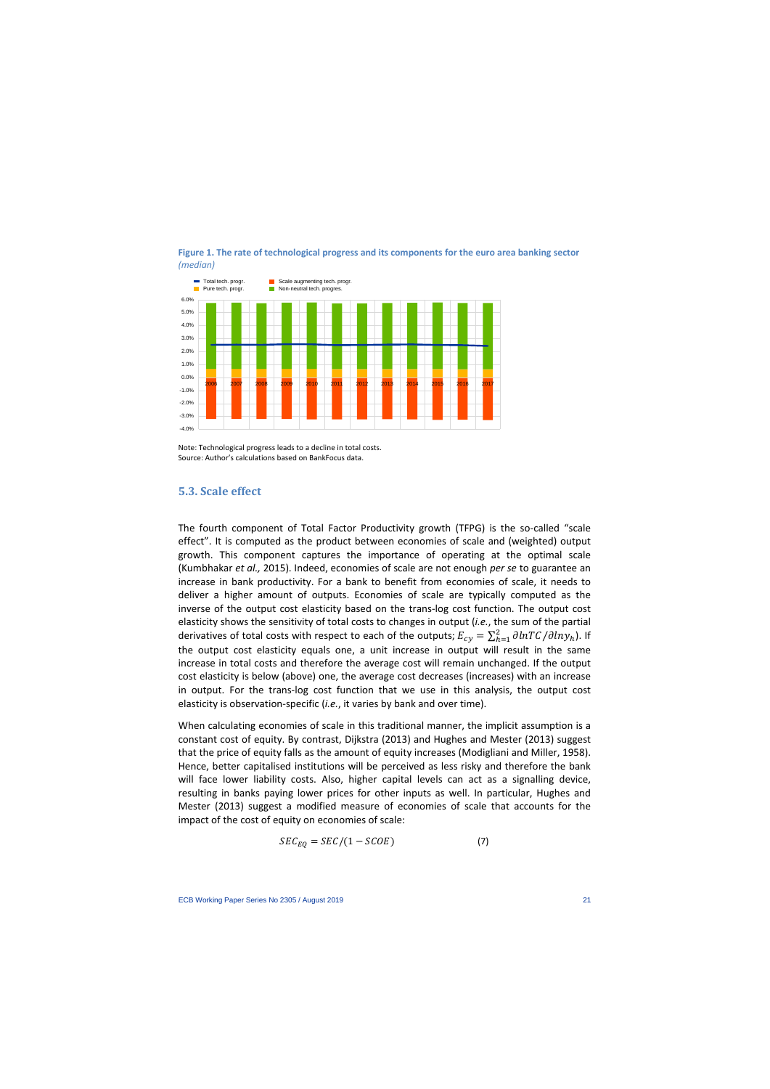



Note: Technological progress leads to a decline in total costs. Source: Author's calculations based on BankFocus data.

### **5.3. Scale effect**

The fourth component of Total Factor Productivity growth (TFPG) is the so-called "scale effect". It is computed as the product between economies of scale and (weighted) output growth. This component captures the importance of operating at the optimal scale (Kumbhakar *et al.,* 2015). Indeed, economies of scale are not enough *per se* to guarantee an increase in bank productivity. For a bank to benefit from economies of scale, it needs to deliver a higher amount of outputs. Economies of scale are typically computed as the inverse of the output cost elasticity based on the trans-log cost function. The output cost elasticity shows the sensitivity of total costs to changes in output (*i.e.*, the sum of the partial derivatives of total costs with respect to each of the outputs;  $E_{cy} = \sum_{h=1}^2 \partial lnT C/\partial ln y_h$ ). If the output cost elasticity equals one, a unit increase in output will result in the same increase in total costs and therefore the average cost will remain unchanged. If the output cost elasticity is below (above) one, the average cost decreases (increases) with an increase in output. For the trans-log cost function that we use in this analysis, the output cost elasticity is observation-specific (*i.e.*, it varies by bank and over time).

When calculating economies of scale in this traditional manner, the implicit assumption is a constant cost of equity. By contrast, Dijkstra (2013) and Hughes and Mester (2013) suggest that the price of equity falls as the amount of equity increases (Modigliani and Miller, 1958). Hence, better capitalised institutions will be perceived as less risky and therefore the bank will face lower liability costs. Also, higher capital levels can act as a signalling device, resulting in banks paying lower prices for other inputs as well. In particular, Hughes and Mester (2013) suggest a modified measure of economies of scale that accounts for the impact of the cost of equity on economies of scale:

$$
SEC_{EQ} = SEC / (1 - SCOE) \tag{7}
$$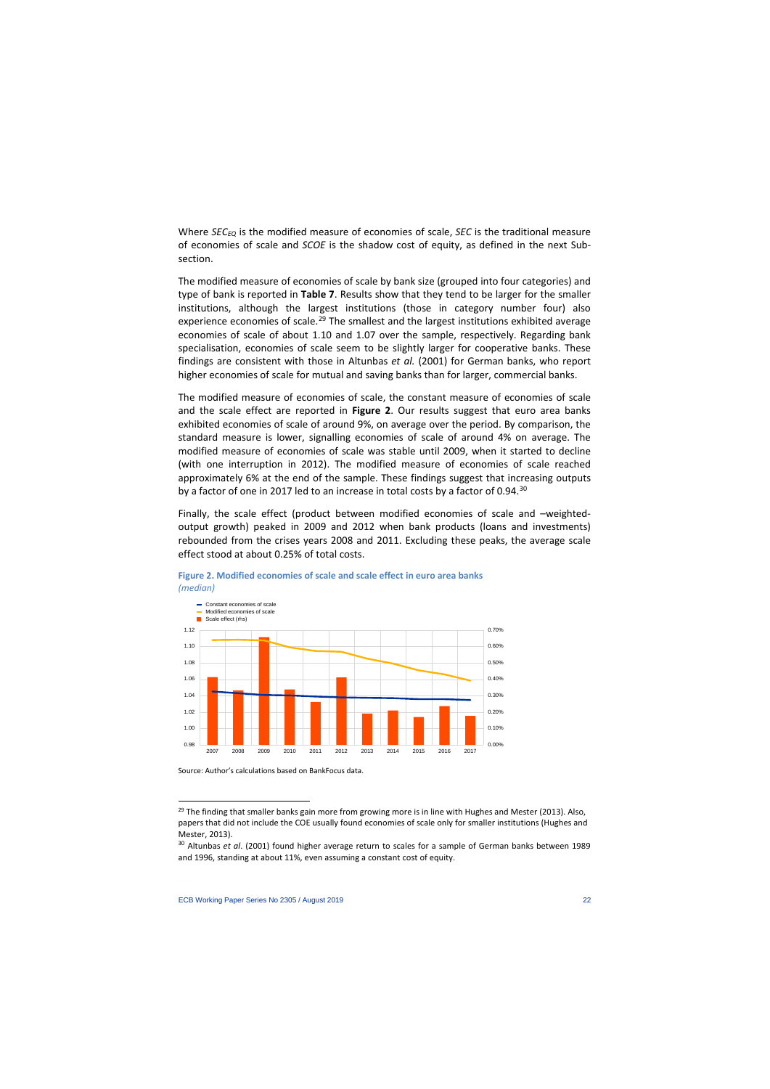Where *SEC<sub>EQ</sub>* is the modified measure of economies of scale, *SEC* is the traditional measure of economies of scale and *SCOE* is the shadow cost of equity, as defined in the next Subsection.

The modified measure of economies of scale by bank size (grouped into four categories) and type of bank is reported in **Table 7**. Results show that they tend to be larger for the smaller institutions, although the largest institutions (those in category number four) also experience economies of scale.<sup>[29](#page-22-0)</sup> The smallest and the largest institutions exhibited average economies of scale of about 1.10 and 1.07 over the sample, respectively. Regarding bank specialisation, economies of scale seem to be slightly larger for cooperative banks. These findings are consistent with those in Altunbas *et al.* (2001) for German banks, who report higher economies of scale for mutual and saving banks than for larger, commercial banks.

The modified measure of economies of scale, the constant measure of economies of scale and the scale effect are reported in **Figure 2**. Our results suggest that euro area banks exhibited economies of scale of around 9%, on average over the period. By comparison, the standard measure is lower, signalling economies of scale of around 4% on average. The modified measure of economies of scale was stable until 2009, when it started to decline (with one interruption in 2012). The modified measure of economies of scale reached approximately 6% at the end of the sample. These findings suggest that increasing outputs by a factor of one in 2017 led to an increase in total costs by a factor of 0.94.<sup>[30](#page-22-1)</sup>

Finally, the scale effect (product between modified economies of scale and –weightedoutput growth) peaked in 2009 and 2012 when bank products (loans and investments) rebounded from the crises years 2008 and 2011. Excluding these peaks, the average scale effect stood at about 0.25% of total costs.



**Figure 2. Modified economies of scale and scale effect in euro area banks**  *(median)*

Source: Author's calculations based on BankFocus data.

 $29$  The finding that smaller banks gain more from growing more is in line with Hughes and Mester (2013). Also, papers that did not include the COE usually found economies of scale only for smaller institutions (Hughes and Mester, 2013).

<span id="page-22-1"></span><span id="page-22-0"></span><sup>30</sup> Altunbas *et al*. (2001) found higher average return to scales for a sample of German banks between 1989 and 1996, standing at about 11%, even assuming a constant cost of equity.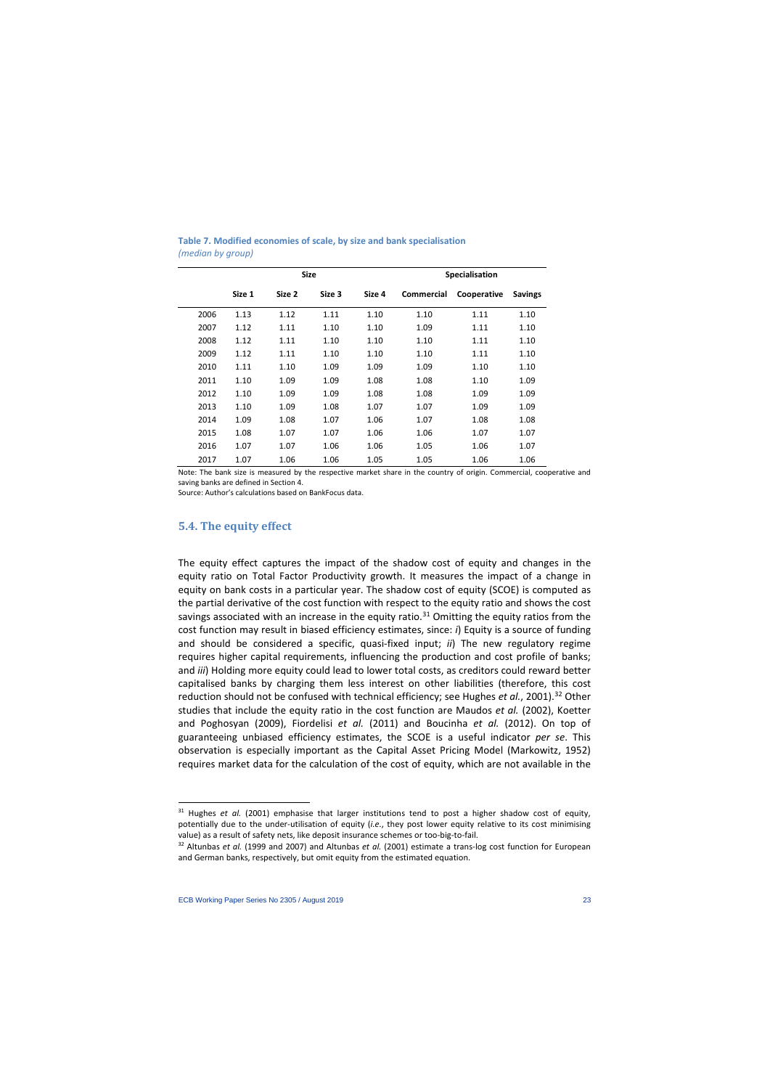|      |        | <b>Size</b> |        |        | <b>Specialisation</b> |             |                |
|------|--------|-------------|--------|--------|-----------------------|-------------|----------------|
|      | Size 1 | Size 2      | Size 3 | Size 4 | <b>Commercial</b>     | Cooperative | <b>Savings</b> |
| 2006 | 1.13   | 1.12        | 1.11   | 1.10   | 1.10                  | 1.11        | 1.10           |
| 2007 | 1.12   | 1.11        | 1.10   | 1.10   | 1.09                  | 1.11        | 1.10           |
| 2008 | 1.12   | 1.11        | 1.10   | 1.10   | 1.10                  | 1.11        | 1.10           |
| 2009 | 1.12   | 1.11        | 1.10   | 1.10   | 1.10                  | 1.11        | 1.10           |
| 2010 | 1.11   | 1.10        | 1.09   | 1.09   | 1.09                  | 1.10        | 1.10           |
| 2011 | 1.10   | 1.09        | 1.09   | 1.08   | 1.08                  | 1.10        | 1.09           |
| 2012 | 1.10   | 1.09        | 1.09   | 1.08   | 1.08                  | 1.09        | 1.09           |
| 2013 | 1.10   | 1.09        | 1.08   | 1.07   | 1.07                  | 1.09        | 1.09           |
| 2014 | 1.09   | 1.08        | 1.07   | 1.06   | 1.07                  | 1.08        | 1.08           |
| 2015 | 1.08   | 1.07        | 1.07   | 1.06   | 1.06                  | 1.07        | 1.07           |
| 2016 | 1.07   | 1.07        | 1.06   | 1.06   | 1.05                  | 1.06        | 1.07           |
| 2017 | 1.07   | 1.06        | 1.06   | 1.05   | 1.05                  | 1.06        | 1.06           |

**Table 7. Modified economies of scale, by size and bank specialisation**  *(median by group)*

Note: The bank size is measured by the respective market share in the country of origin. Commercial, cooperative and saving banks are defined in Section 4.

Source: Author's calculations based on BankFocus data.

### **5.4. The equity effect**

The equity effect captures the impact of the shadow cost of equity and changes in the equity ratio on Total Factor Productivity growth. It measures the impact of a change in equity on bank costs in a particular year. The shadow cost of equity (SCOE) is computed as the partial derivative of the cost function with respect to the equity ratio and shows the cost savings associated with an increase in the equity ratio.<sup>[31](#page-23-0)</sup> Omitting the equity ratios from the cost function may result in biased efficiency estimates, since: *i*) Equity is a source of funding and should be considered a specific, quasi-fixed input; *ii*) The new regulatory regime requires higher capital requirements, influencing the production and cost profile of banks; and *iii*) Holding more equity could lead to lower total costs, as creditors could reward better capitalised banks by charging them less interest on other liabilities (therefore, this cost reduction should not be confused with technical efficiency; see Hughes *et al.*, 2001).<sup>[32](#page-23-1)</sup> Other studies that include the equity ratio in the cost function are Maudos *et al.* (2002), Koetter and Poghosyan (2009), Fiordelisi *et al.* (2011) and Boucinha *et al.* (2012). On top of guaranteeing unbiased efficiency estimates, the SCOE is a useful indicator *per se*. This observation is especially important as the Capital Asset Pricing Model (Markowitz, 1952) requires market data for the calculation of the cost of equity, which are not available in the

l

<sup>&</sup>lt;sup>31</sup> Hughes *et al.* (2001) emphasise that larger institutions tend to post a higher shadow cost of equity, potentially due to the under-utilisation of equity (*i.e.*, they post lower equity relative to its cost minimising value) as a result of safety nets, like deposit insurance schemes or too-big-to-fail.

<span id="page-23-1"></span><span id="page-23-0"></span><sup>32</sup> Altunbas *et al.* (1999 and 2007) and Altunbas *et al.* (2001) estimate a trans-log cost function for European and German banks, respectively, but omit equity from the estimated equation.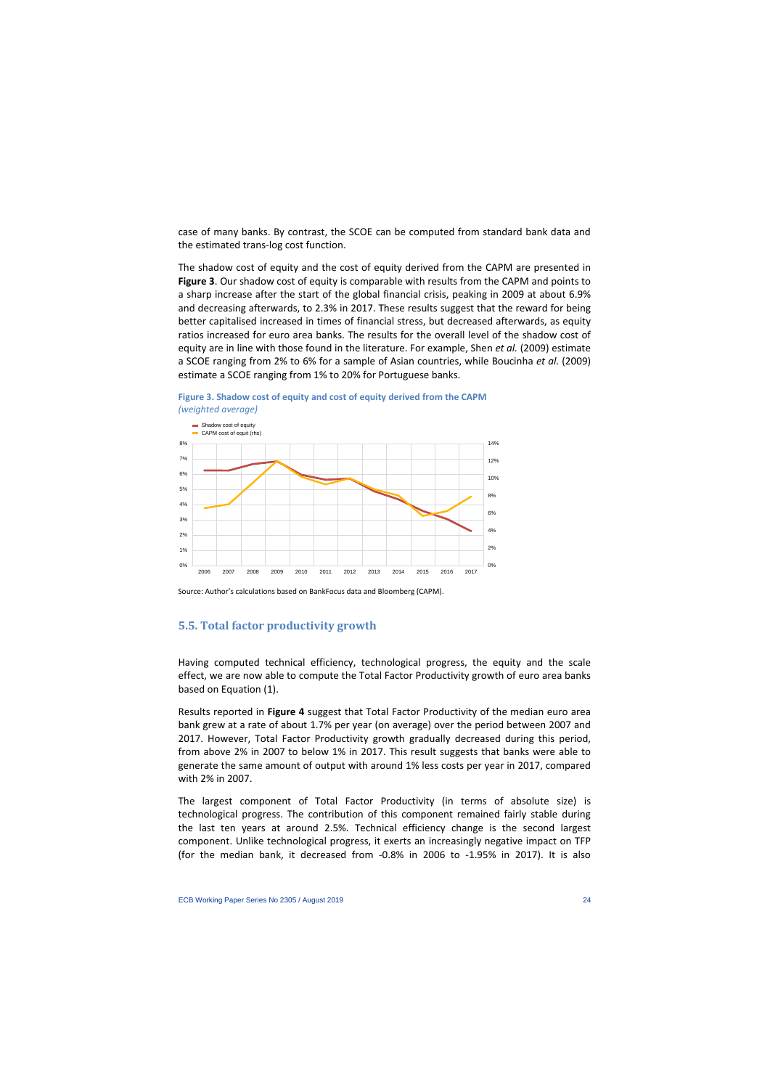case of many banks. By contrast, the SCOE can be computed from standard bank data and the estimated trans-log cost function.

The shadow cost of equity and the cost of equity derived from the CAPM are presented in **Figure 3**. Our shadow cost of equity is comparable with results from the CAPM and points to a sharp increase after the start of the global financial crisis, peaking in 2009 at about 6.9% and decreasing afterwards, to 2.3% in 2017. These results suggest that the reward for being better capitalised increased in times of financial stress, but decreased afterwards, as equity ratios increased for euro area banks. The results for the overall level of the shadow cost of equity are in line with those found in the literature. For example, Shen *et al.* (2009) estimate a SCOE ranging from 2% to 6% for a sample of Asian countries, while Boucinha *et al.* (2009) estimate a SCOE ranging from 1% to 20% for Portuguese banks.





Source: Author's calculations based on BankFocus data and Bloomberg (CAPM).

## **5.5. Total factor productivity growth**

Having computed technical efficiency, technological progress, the equity and the scale effect, we are now able to compute the Total Factor Productivity growth of euro area banks based on Equation (1).

Results reported in **Figure 4** suggest that Total Factor Productivity of the median euro area bank grew at a rate of about 1.7% per year (on average) over the period between 2007 and 2017. However, Total Factor Productivity growth gradually decreased during this period, from above 2% in 2007 to below 1% in 2017. This result suggests that banks were able to generate the same amount of output with around 1% less costs per year in 2017, compared with 2% in 2007.

The largest component of Total Factor Productivity (in terms of absolute size) is technological progress. The contribution of this component remained fairly stable during the last ten years at around 2.5%. Technical efficiency change is the second largest component. Unlike technological progress, it exerts an increasingly negative impact on TFP (for the median bank, it decreased from -0.8% in 2006 to -1.95% in 2017). It is also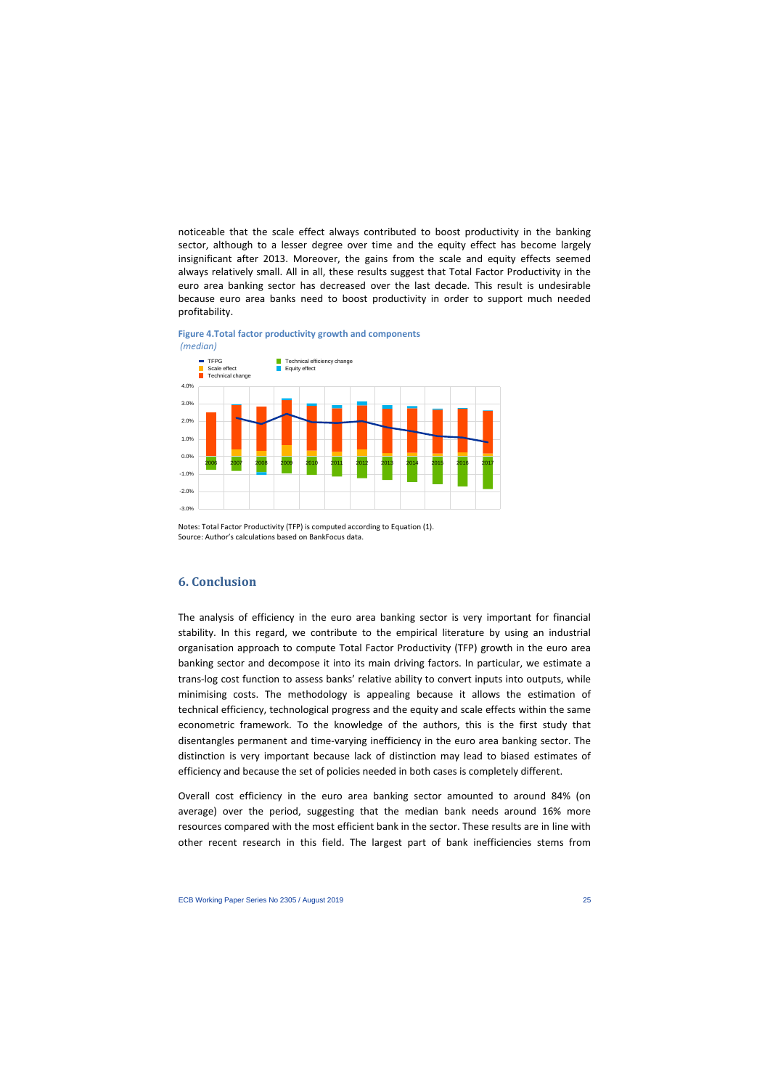noticeable that the scale effect always contributed to boost productivity in the banking sector, although to a lesser degree over time and the equity effect has become largely insignificant after 2013. Moreover, the gains from the scale and equity effects seemed always relatively small. All in all, these results suggest that Total Factor Productivity in the euro area banking sector has decreased over the last decade. This result is undesirable because euro area banks need to boost productivity in order to support much needed profitability.



#### **Figure 4.Total factor productivity growth and components** *(median)*

Notes: Total Factor Productivity (TFP) is computed according to Equation (1). Source: Author's calculations based on BankFocus data.

# **6. Conclusion**

The analysis of efficiency in the euro area banking sector is very important for financial stability. In this regard, we contribute to the empirical literature by using an industrial organisation approach to compute Total Factor Productivity (TFP) growth in the euro area banking sector and decompose it into its main driving factors. In particular, we estimate a trans-log cost function to assess banks' relative ability to convert inputs into outputs, while minimising costs. The methodology is appealing because it allows the estimation of technical efficiency, technological progress and the equity and scale effects within the same econometric framework. To the knowledge of the authors, this is the first study that disentangles permanent and time-varying inefficiency in the euro area banking sector. The distinction is very important because lack of distinction may lead to biased estimates of efficiency and because the set of policies needed in both cases is completely different.

Overall cost efficiency in the euro area banking sector amounted to around 84% (on average) over the period, suggesting that the median bank needs around 16% more resources compared with the most efficient bank in the sector. These results are in line with other recent research in this field. The largest part of bank inefficiencies stems from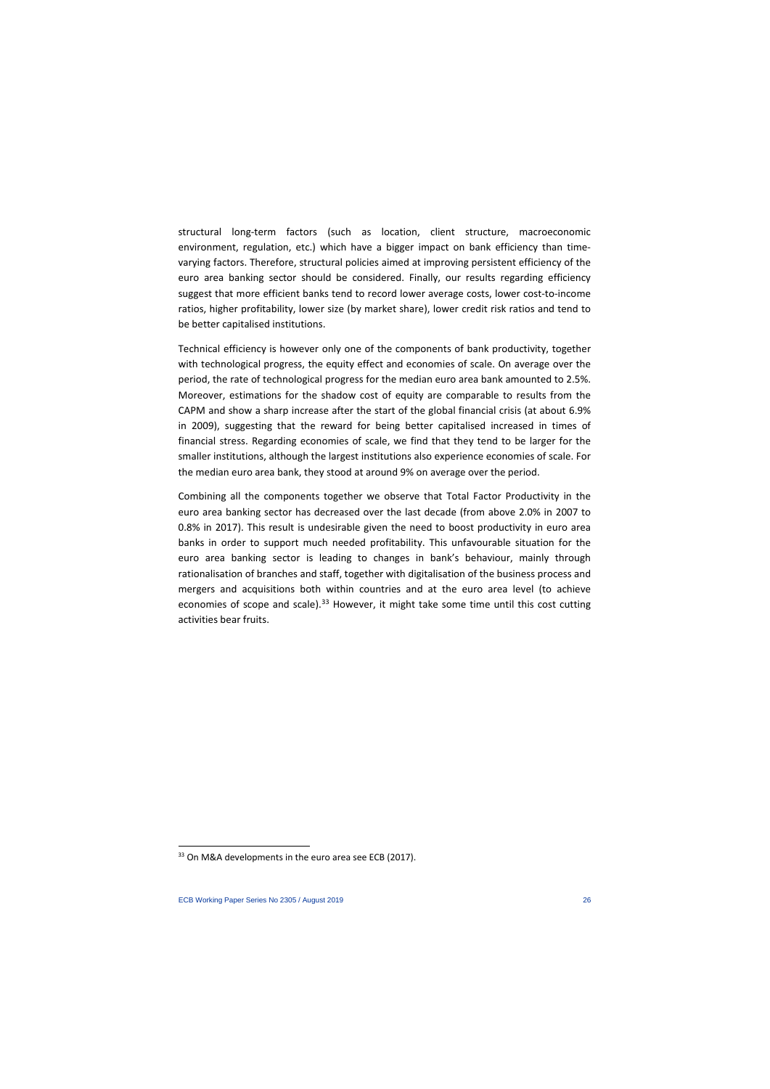structural long-term factors (such as location, client structure, macroeconomic environment, regulation, etc.) which have a bigger impact on bank efficiency than timevarying factors. Therefore, structural policies aimed at improving persistent efficiency of the euro area banking sector should be considered. Finally, our results regarding efficiency suggest that more efficient banks tend to record lower average costs, lower cost-to-income ratios, higher profitability, lower size (by market share), lower credit risk ratios and tend to be better capitalised institutions.

Technical efficiency is however only one of the components of bank productivity, together with technological progress, the equity effect and economies of scale. On average over the period, the rate of technological progress for the median euro area bank amounted to 2.5%. Moreover, estimations for the shadow cost of equity are comparable to results from the CAPM and show a sharp increase after the start of the global financial crisis (at about 6.9% in 2009), suggesting that the reward for being better capitalised increased in times of financial stress. Regarding economies of scale, we find that they tend to be larger for the smaller institutions, although the largest institutions also experience economies of scale. For the median euro area bank, they stood at around 9% on average over the period.

Combining all the components together we observe that Total Factor Productivity in the euro area banking sector has decreased over the last decade (from above 2.0% in 2007 to 0.8% in 2017). This result is undesirable given the need to boost productivity in euro area banks in order to support much needed profitability. This unfavourable situation for the euro area banking sector is leading to changes in bank's behaviour, mainly through rationalisation of branches and staff, together with digitalisation of the business process and mergers and acquisitions both within countries and at the euro area level (to achieve economies of scope and scale).<sup>[33](#page-26-0)</sup> However, it might take some time until this cost cutting activities bear fruits.

l

<span id="page-26-0"></span><sup>33</sup> On M&A developments in the euro area see ECB (2017).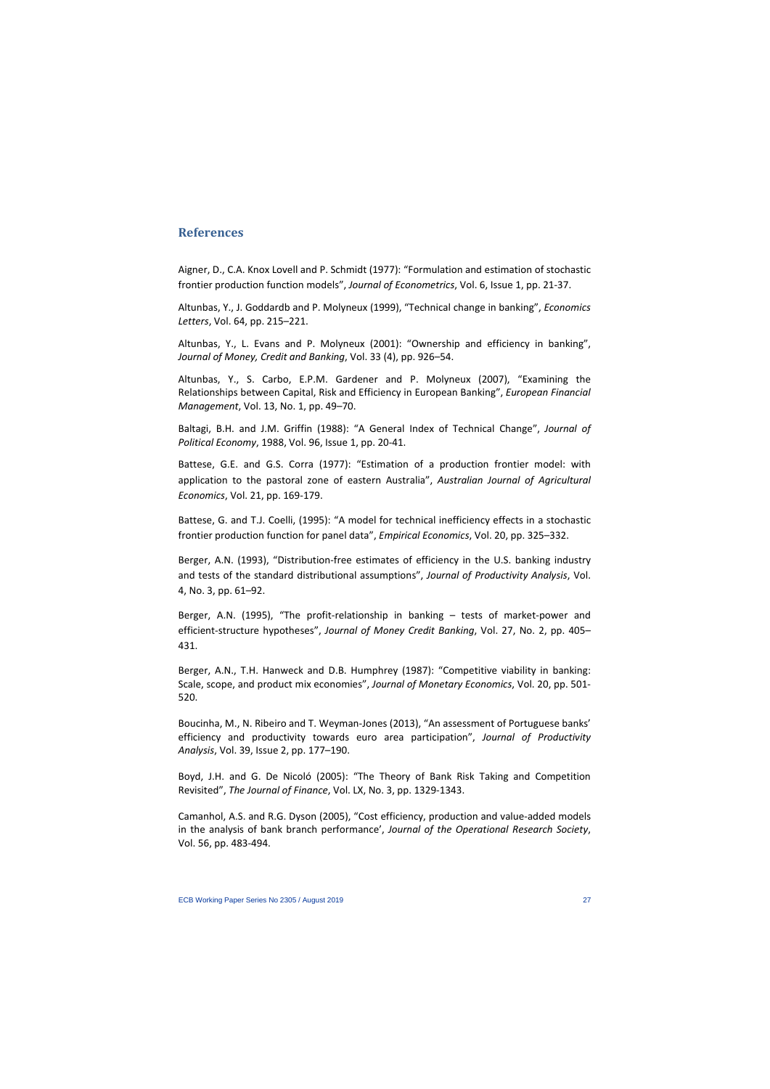# **References**

Aigner, D., C.A. Knox Lovell and P. Schmidt (1977): "Formulation and estimation of stochastic frontier production function models", *Journal of Econometrics*, Vol. 6, Issue 1, pp. 21-37.

Altunbas, Y., J. Goddardb and P. Molyneux (1999), "Technical change in banking", *Economics Letters*, Vol. 64, pp. 215–221.

Altunbas, Y., L. Evans and P. Molyneux (2001): "Ownership and efficiency in banking", *Journal of Money, Credit and Banking*, Vol. 33 (4), pp. 926–54.

Altunbas, Y., S. Carbo, E.P.M. Gardener and P. Molyneux (2007), "Examining the Relationships between Capital, Risk and Efficiency in European Banking", *European Financial Management*, Vol. 13, No. 1, pp. 49–70.

Baltagi, B.H. and J.M. Griffin (1988): "A General Index of Technical Change", *Journal of Political Economy*, 1988, Vol. 96, Issue 1, pp. 20-41.

Battese, G.E. and G.S. Corra (1977): "Estimation of a production frontier model: with application to the pastoral zone of eastern Australia", *Australian Journal of Agricultural Economics*, Vol. 21, pp. 169-179.

Battese, G. and T.J. Coelli, (1995): "A model for technical inefficiency effects in a stochastic frontier production function for panel data", *Empirical Economics*, Vol. 20, pp. 325–332.

Berger, A.N. (1993), "Distribution-free estimates of efficiency in the U.S. banking industry and tests of the standard distributional assumptions", *Journal of Productivity Analysis*, Vol. 4, No. 3, pp. 61–92.

Berger, A.N. (1995), "The profit-relationship in banking – tests of market-power and efficient-structure hypotheses", *Journal of Money Credit Banking*, Vol. 27, No. 2, pp. 405– 431.

Berger, A.N., T.H. Hanweck and D.B. Humphrey (1987): "Competitive viability in banking: Scale, scope, and product mix economies", *Journal of Monetary Economics*, Vol. 20, pp. 501- 520.

Boucinha, M., N. Ribeiro and T. Weyman-Jones (2013), "An assessment of Portuguese banks' efficiency and productivity towards euro area participation", *[Journal of Productivity](https://link.springer.com/journal/11123)  [Analysis](https://link.springer.com/journal/11123)*, Vol. 39, [Issue 2,](https://link.springer.com/journal/11123/39/2/page/1) pp. 177–190.

Boyd, J.H. and G. De Nicoló (2005): "The Theory of Bank Risk Taking and Competition Revisited", *The Journal of Finance*, Vol. LX, No. 3, pp. 1329-1343.

Camanhol, A.S. and R.G. Dyson (2005), "Cost efficiency, production and value-added models in the analysis of bank branch performance', *Journal of the Operational Research Society*, Vol. 56, pp. 483-494.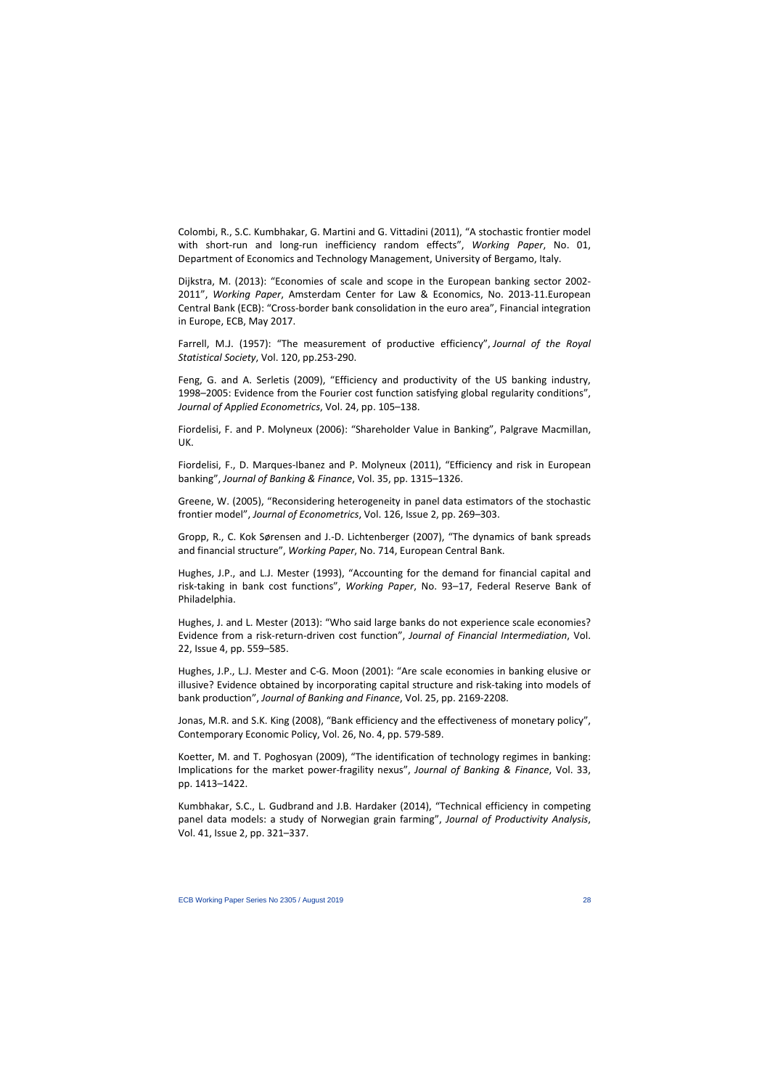Colombi, R., S.C. Kumbhakar, G. Martini and G. Vittadini (2011), "A stochastic frontier model with short-run and long-run inefficiency random effects", *Working Paper*, No. 01, Department of Economics and Technology Management, University of Bergamo, Italy.

Dijkstra, M. (2013): "Economies of scale and scope in the European banking sector 2002- 2011", *Working Paper*, Amsterdam Center for Law & Economics, No. 2013-11.European Central Bank (ECB): "Cross-border bank consolidation in the euro area", Financial integration in Europe, ECB, May 2017.

Farrell, M.J. (1957): "The measurement of productive efficiency", *Journal of the Royal Statistical Society*, Vol. 120, pp.253-290.

Feng, G. and A. Serletis (2009), "Efficiency and productivity of the US banking industry, 1998–2005: Evidence from the Fourier cost function satisfying global regularity conditions", *Journal of Applied Econometrics*, Vol. 24, pp. 105–138.

Fiordelisi, F. and P. Molyneux (2006): "Shareholder Value in Banking", Palgrave Macmillan, UK.

Fiordelisi, F., D. Marques-Ibanez and P. Molyneux (2011), "Efficiency and risk in European banking", *Journal of Banking & Finance*, Vol. 35, pp. 1315–1326.

Greene, W. (2005), "Reconsidering heterogeneity in panel data estimators of the stochastic frontier model", *Journal of Econometrics*, Vol. 126, Issue 2, pp. 269–303.

Gropp, R., C. Kok Sørensen and J.-D. Lichtenberger (2007), "The dynamics of bank spreads and financial structure", *Working Paper*, No. 714, European Central Bank.

Hughes, J.P., and L.J. Mester (1993), "Accounting for the demand for financial capital and risk-taking in bank cost functions", *Working Paper*, No. 93–17, Federal Reserve Bank of Philadelphia.

Hughes, J. and L. Mester (2013): "Who said large banks do not experience scale economies? Evidence from a risk-return-driven cost function", *Journal of Financial Intermediation*, Vol. 22, Issue 4, pp. 559–585.

Hughes, J.P., L.J. Mester and C-G. Moon (2001): "Are scale economies in banking elusive or illusive? Evidence obtained by incorporating capital structure and risk-taking into models of bank production", *Journal of Banking and Finance*, Vol. 25, pp. 2169-2208.

Jonas, M.R. and S.K. King (2008), "Bank efficiency and the effectiveness of monetary policy", Contemporary Economic Policy, Vol. 26, No. 4, pp. 579-589.

Koetter, M. and T. Poghosyan (2009), "The identification of technology regimes in banking: Implications for the market power-fragility nexus", *Journal of Banking & Finance*, Vol. 33, pp. 1413–1422.

Kumbhakar, S.C., L. Gudbrand and J.B. Hardaker (2014), "Technical efficiency in competing panel data models: a study of Norwegian grain farming", *Journal of Productivity Analysis*, Vol. 41, Issue 2, pp. 321–337.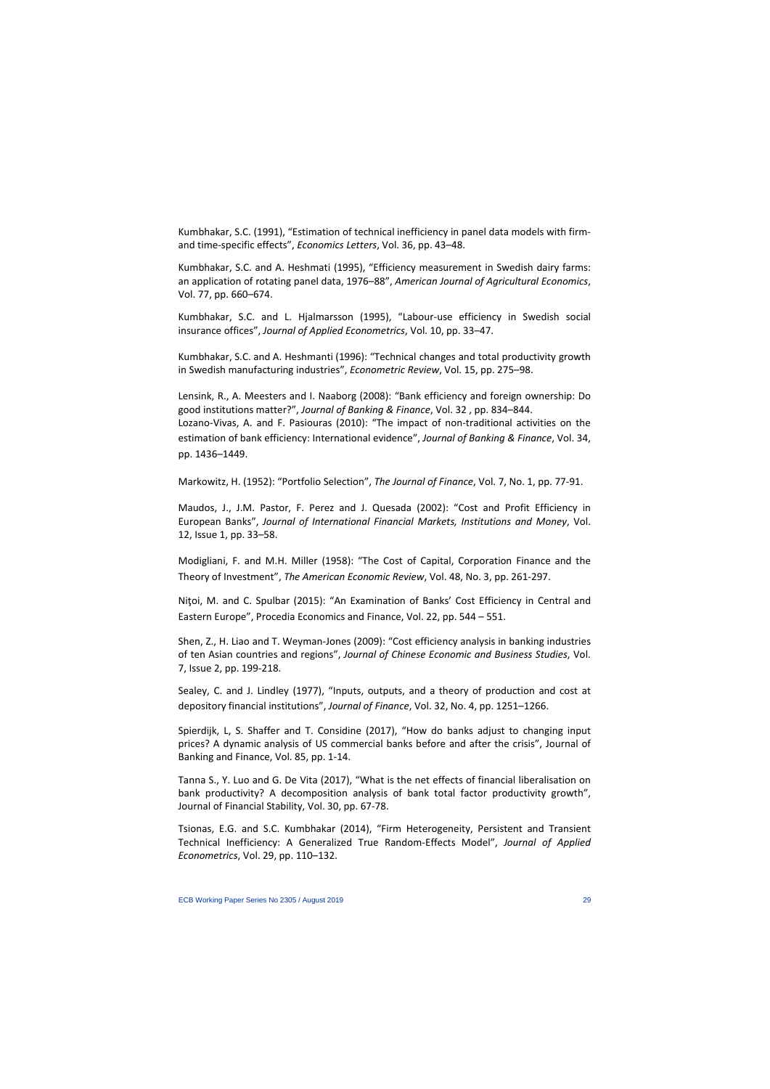Kumbhakar, S.C. (1991), "Estimation of technical inefficiency in panel data models with firmand time-specific effects", *Economics Letters*, Vol. 36, pp. 43–48.

Kumbhakar, S.C. and A. Heshmati (1995), "Efficiency measurement in Swedish dairy farms: an application of rotating panel data, 1976–88", *American Journal of Agricultural Economics*, Vol. 77, pp. 660–674.

Kumbhakar, S.C. and L. Hjalmarsson (1995), "Labour-use efficiency in Swedish social insurance offices", *Journal of Applied Econometrics*, Vol. 10, pp. 33–47.

Kumbhakar, S.C. and A. Heshmanti (1996): "Technical changes and total productivity growth in Swedish manufacturing industries", *Econometric Review*, Vol. 15, pp. 275–98.

Lensink, R., A. Meesters and I. Naaborg (2008): "Bank efficiency and foreign ownership: Do good institutions matter?", *Journal of Banking & Finance*, Vol. 32 , pp. 834–844. Lozano-Vivas, A. and F. Pasiouras (2010): "The impact of non-traditional activities on the estimation of bank efficiency: International evidence", *Journal of Banking & Finance*, Vol. 34, pp. 1436–1449.

Markowitz, H. (1952): "Portfolio Selection", *The Journal of Finance*, Vol. 7, No. 1, pp. 77-91.

Maudos, J., J.M. Pastor, F. Perez and J. Quesada (2002): "Cost and Profit Efficiency in European Banks", *Journal of International Financial Markets, Institutions and Money*, Vol. 12, Issue 1, pp. 33–58.

Modigliani, F. and M.H. Miller (1958): "The Cost of Capital, Corporation Finance and the Theory of Investment", *The American Economic Review*, Vol. 48, No. 3, pp. 261-297.

Niţoi, M. and C. Spulbar (2015): "An Examination of Banks' Cost Efficiency in Central and Eastern Europe", Procedia Economics and Finance, Vol. 22, pp. 544 – 551.

Shen, Z., H. Liao and T. Weyman-Jones (2009): "Cost efficiency analysis in banking industries of ten Asian countries and regions", *Journal of Chinese Economic and Business Studies*, Vol. 7, [Issue 2,](http://www.tandfonline.com/toc/rcea20/7/2) pp. 199-218.

Sealey, C. and J. Lindley (1977), "Inputs, outputs, and a theory of production and cost at depository financial institutions", *Journal of Finance*, Vol. 32, No. 4, pp. 1251–1266.

Spierdijk, L, S. Shaffer and T. Considine (2017), "How do banks adjust to changing input prices? A dynamic analysis of US commercial banks before and after the crisis", Journal of Banking and Finance, Vol. 85, pp. 1-14.

Tanna S., Y. Luo and G. De Vita (2017), "What is the net effects of financial liberalisation on bank productivity? A decomposition analysis of bank total factor productivity growth", Journal of Financial Stability, Vol. 30, pp. 67-78.

Tsionas, E.G. and S.C. Kumbhakar (2014), "Firm Heterogeneity, Persistent and Transient Technical Inefficiency: A Generalized True Random-Effects Model", *Journal of Applied Econometrics*, Vol. 29, pp. 110–132.